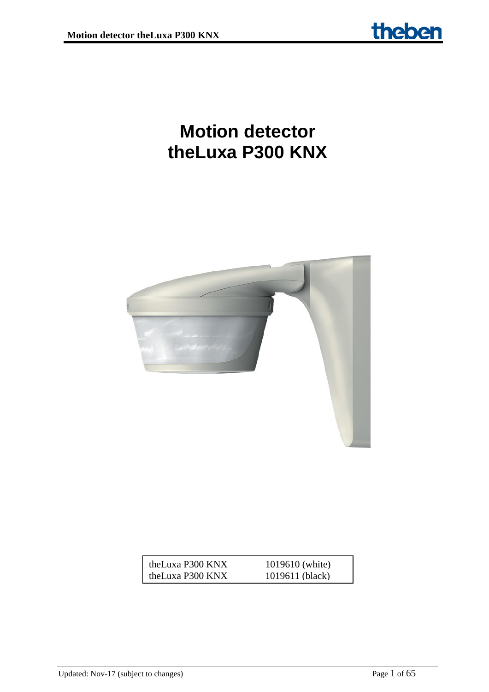# **Motion detector theLuxa P300 KNX**



| theLuxa P300 KNX | 1019610 (white) |
|------------------|-----------------|
| theLuxa P300 KNX | 1019611 (black) |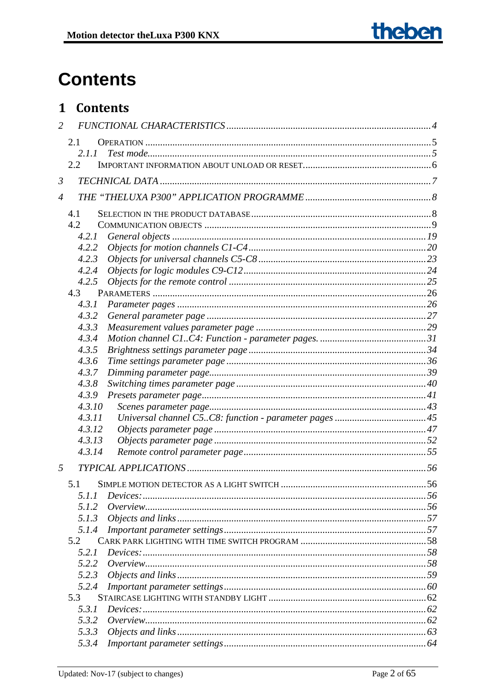# **Contents**

# 1 Contents

| $\overline{2}$ |        |  |
|----------------|--------|--|
|                | 2.1    |  |
|                | 2.1.1  |  |
|                | 2.2    |  |
| $\mathfrak{Z}$ |        |  |
| $\overline{4}$ |        |  |
|                | 4.1    |  |
|                | 4.2    |  |
|                | 4.2.1  |  |
|                | 4.2.2  |  |
|                | 4.2.3  |  |
|                | 4.2.4  |  |
|                | 4.2.5  |  |
|                | 4.3    |  |
|                | 4.3.1  |  |
|                | 4.3.2  |  |
|                | 4.3.3  |  |
|                | 4.3.4  |  |
|                | 4.3.5  |  |
|                | 4.3.6  |  |
|                | 4.3.7  |  |
|                | 4.3.8  |  |
|                | 4.3.9  |  |
|                | 4.3.10 |  |
|                | 4.3.11 |  |
|                | 4.3.12 |  |
|                | 4.3.13 |  |
|                | 4.3.14 |  |
| 5              |        |  |
|                | 5.1    |  |
|                | 5.1.1  |  |
|                | 5.1.2  |  |
|                | 5.1.3  |  |
|                | 5.1.4  |  |
|                | 5.2    |  |
|                | 5.2.1  |  |
|                | 5.2.2  |  |
|                | 5.2.3  |  |
|                | 5.2.4  |  |
|                | 5.3    |  |
|                | 5.3.1  |  |
|                | 5.3.2  |  |
|                | 5.3.3  |  |
|                | 5.3.4  |  |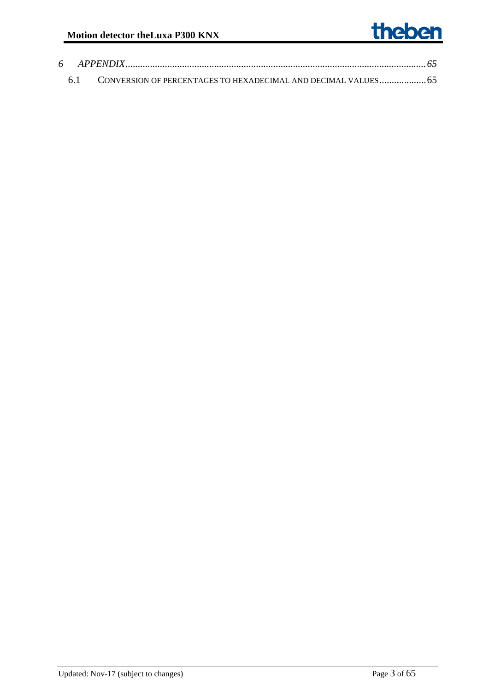# theben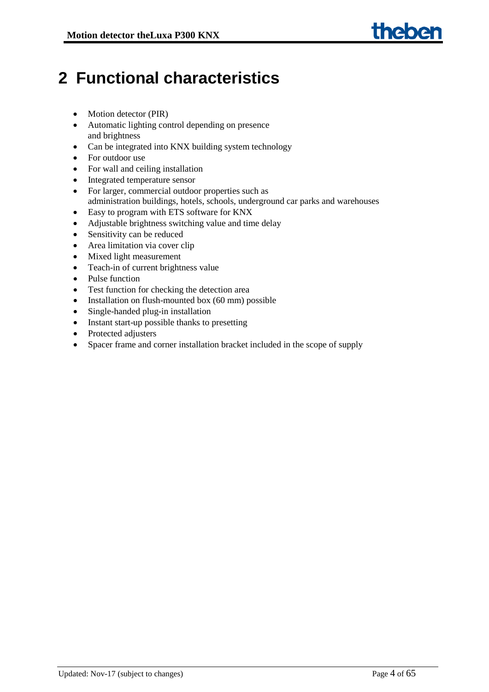# <span id="page-3-0"></span>**2 Functional characteristics**

- Motion detector (PIR)
- Automatic lighting control depending on presence and brightness
- Can be integrated into KNX building system technology
- For outdoor use
- For wall and ceiling installation
- Integrated temperature sensor
- For larger, commercial outdoor properties such as administration buildings, hotels, schools, underground car parks and warehouses
- Easy to program with ETS software for KNX
- Adjustable brightness switching value and time delay
- Sensitivity can be reduced
- Area limitation via cover clip
- Mixed light measurement
- Teach-in of current brightness value
- Pulse function
- Test function for checking the detection area
- Installation on flush-mounted box (60 mm) possible
- Single-handed plug-in installation
- Instant start-up possible thanks to presetting
- Protected adjusters
- Spacer frame and corner installation bracket included in the scope of supply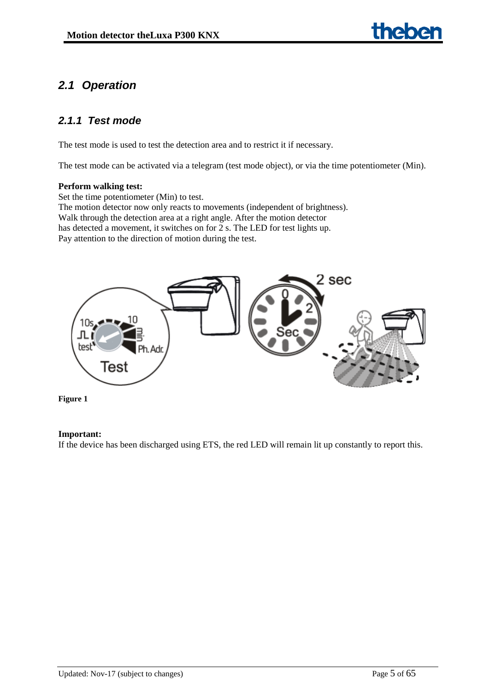# <span id="page-4-0"></span>*2.1 Operation*

# <span id="page-4-1"></span>*2.1.1 Test mode*

The test mode is used to test the detection area and to restrict it if necessary.

The test mode can be activated via a telegram (test mode object), or via the time potentiometer (Min).

#### **Perform walking test:**

Set the time potentiometer (Min) to test. The motion detector now only reacts to movements (independent of brightness). Walk through the detection area at a right angle. After the motion detector has detected a movement, it switches on for 2 s. The LED for test lights up. Pay attention to the direction of motion during the test.





#### **Important:**

If the device has been discharged using ETS, the red LED will remain lit up constantly to report this.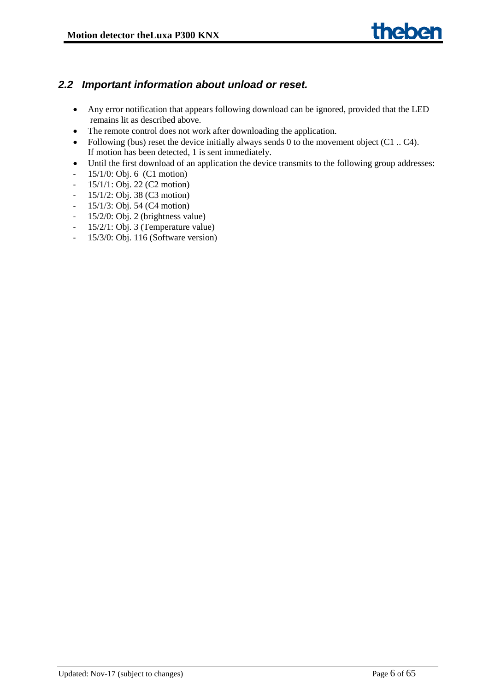# <span id="page-5-0"></span>*2.2 Important information about unload or reset.*

- Any error notification that appears following download can be ignored, provided that the LED remains lit as described above.
- The remote control does not work after downloading the application.
- Following (bus) reset the device initially always sends 0 to the movement object  $(C1 \dots C4)$ . If motion has been detected, 1 is sent immediately.
- Until the first download of an application the device transmits to the following group addresses:
- 15/1/0: Obj. 6 (C1 motion)
- 15/1/1: Obj. 22 (C2 motion)
- $-15/1/2$ : Obj. 38 (C3 motion)
- 15/1/3: Obj. 54 (C4 motion)
- 15/2/0: Obj. 2 (brightness value)
- 15/2/1: Obj. 3 (Temperature value)
- 15/3/0: Obj. 116 (Software version)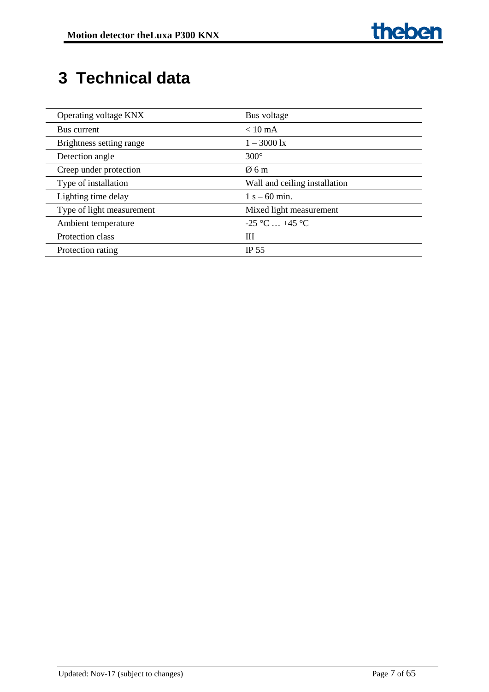# <span id="page-6-0"></span>**3 Technical data**

| Operating voltage KNX     | Bus voltage                   |
|---------------------------|-------------------------------|
| Bus current               | $< 10 \text{ mA}$             |
| Brightness setting range  | $1 - 3000 \text{ lx}$         |
| Detection angle           | $300^\circ$                   |
| Creep under protection    | $\emptyset$ 6 m               |
| Type of installation      | Wall and ceiling installation |
| Lighting time delay       | $1 s - 60$ min.               |
| Type of light measurement | Mixed light measurement       |
| Ambient temperature       | $-25$ °C  +45 °C              |
| Protection class          | Ш                             |
| Protection rating         | <b>IP 55</b>                  |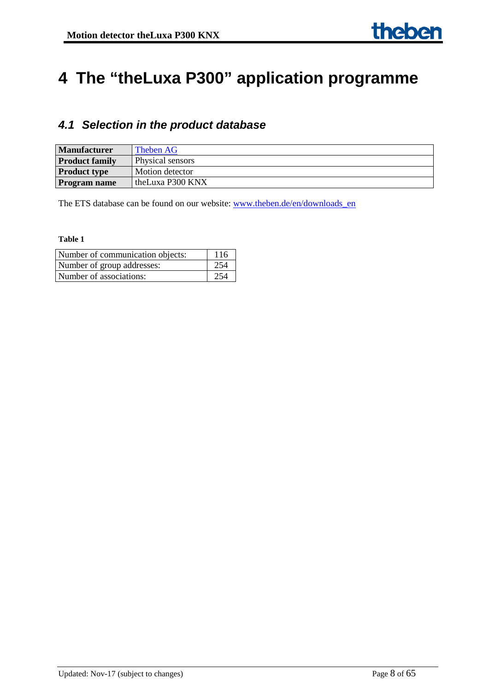# <span id="page-7-0"></span>**4 The "theLuxa P300" application programme**

# <span id="page-7-1"></span>*4.1 Selection in the product database*

| <b>Manufacturer</b>   | Theben AG        |
|-----------------------|------------------|
| <b>Product family</b> | Physical sensors |
| <b>Product type</b>   | Motion detector  |
| Program name          | theLuxa P300 KNX |

The ETS database can be found on our website: [www.theben.de/en/downloads\\_en](http://www.theben.de/en/downloads_en)

| Number of communication objects: | 116 |
|----------------------------------|-----|
| Number of group addresses:       | 254 |
| Number of associations:          | 254 |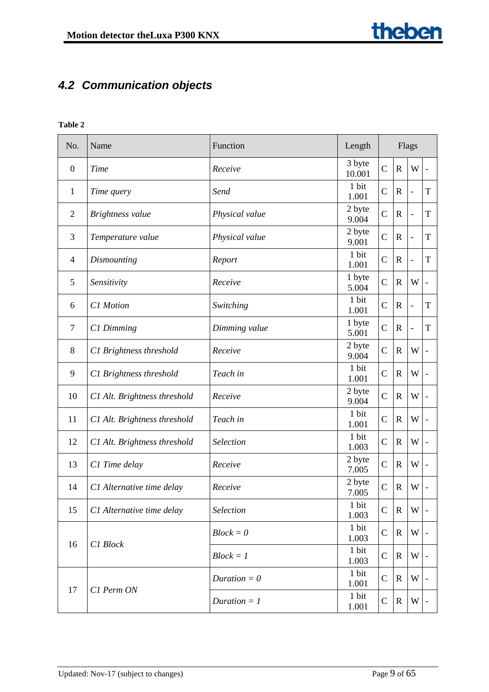# <span id="page-8-0"></span>*4.2 Communication objects*

| No.            | Name                         | Function       | Length           | Flags          |              |                          |                          |  |  |
|----------------|------------------------------|----------------|------------------|----------------|--------------|--------------------------|--------------------------|--|--|
| $\overline{0}$ | <b>Time</b>                  | Receive        | 3 byte<br>10.001 | $\overline{C}$ | $\mathbf R$  | W                        | $\overline{\phantom{a}}$ |  |  |
| $\mathbf{1}$   | Time query                   | Send           | 1 bit<br>1.001   | $\mathcal{C}$  | $\mathbf R$  | $\overline{\phantom{0}}$ | T                        |  |  |
| $\overline{2}$ | Brightness value             | Physical value | 2 byte<br>9.004  | $\overline{C}$ | $\mathbf R$  | $\frac{1}{2}$            | $\mathbf T$              |  |  |
| 3              | Temperature value            | Physical value | 2 byte<br>9.001  | $\overline{C}$ | $\mathbf R$  | $\overline{\phantom{0}}$ | T                        |  |  |
| 4              | Dismounting                  | Report         | 1 bit<br>1.001   | $\mathcal{C}$  | $\mathbf R$  | $\overline{\phantom{a}}$ | T                        |  |  |
| 5              | Sensitivity                  | Receive        | 1 byte<br>5.004  | $\mathcal{C}$  | $\mathbf R$  | W                        | $\overline{\phantom{a}}$ |  |  |
| 6              | C1 Motion                    | Switching      | 1 bit<br>1.001   | $\mathsf{C}$   | $\mathbf R$  | $\frac{1}{2}$            | T                        |  |  |
| $\tau$         | C1 Dimming                   | Dimming value  | 1 byte<br>5.001  | $\mathcal{C}$  | $\mathbf R$  | $\blacksquare$           | T                        |  |  |
| 8              | C1 Brightness threshold      | Receive        | 2 byte<br>9.004  | $\overline{C}$ | $\mathbb{R}$ | W                        |                          |  |  |
| 9              | C1 Brightness threshold      | Teach in       | 1 bit<br>1.001   | $\mathbf C$    | $\mathbb{R}$ | W                        |                          |  |  |
| 10             | C1 Alt. Brightness threshold | Receive        | 2 byte<br>9.004  | $\overline{C}$ | $\mathbf R$  | W                        |                          |  |  |
| 11             | C1 Alt. Brightness threshold | Teach in       | 1 bit<br>1.001   | $\mathcal{C}$  | $\mathbb{R}$ | W                        |                          |  |  |
| 12             | C1 Alt. Brightness threshold | Selection      | 1 bit<br>1.003   | $\mathcal{C}$  | $\mathbf R$  | W                        |                          |  |  |
| 13             | C1 Time delay                | Receive        | 2 byte<br>7.005  | $\overline{C}$ | $\mathbb{R}$ | W                        |                          |  |  |
| 14             | C1 Alternative time delay    | Receive        | 2 byte<br>7.005  | $\mathsf{C}$   | $\mathbb{R}$ | W                        |                          |  |  |
| 15             | C1 Alternative time delay    | Selection      | 1 bit<br>1.003   | $\mathsf{C}$   | ${\bf R}$    | W                        |                          |  |  |
| 16             | C1 Block                     | $Block = 0$    | 1 bit<br>1.003   | $\mathbf C$    | R            | W                        |                          |  |  |
|                |                              | $Block = 1$    | 1 bit<br>1.003   | $\mathbf C$    | R            | W                        |                          |  |  |
|                | C1 Perm ON                   | Duration $= 0$ | 1 bit<br>1.001   | $\mathcal{C}$  | $\mathbf R$  | W                        |                          |  |  |
| 17             |                              | Duration $= 1$ | 1 bit<br>1.001   | $\mathbf C$    | R            | W                        |                          |  |  |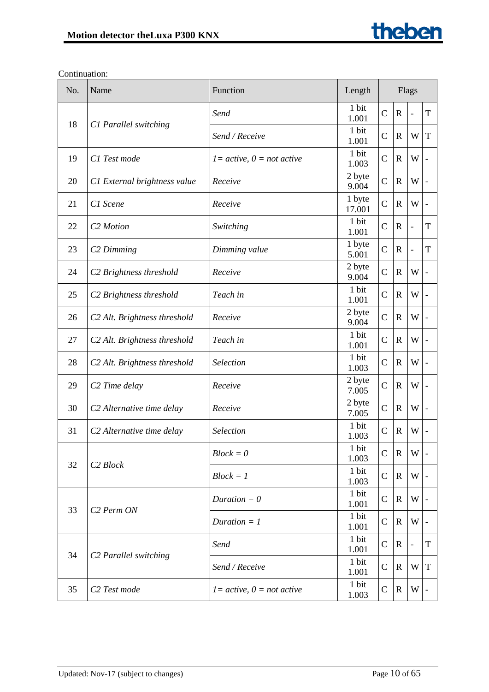| No. | Name                                     | Function                     | Length           | Flags          |              |                          |             |
|-----|------------------------------------------|------------------------------|------------------|----------------|--------------|--------------------------|-------------|
|     |                                          | Send                         | 1 bit<br>1.001   | $\mathbf C$    | $\mathbf R$  | $\overline{\phantom{a}}$ | T           |
| 18  | C1 Parallel switching                    | Send / Receive               | 1 bit<br>1.001   | $\mathbf C$    | $\mathbf R$  | W                        | T           |
| 19  | C1 Test mode                             | $1 = active, 0 = not active$ | 1 bit<br>1.003   | $\mathcal{C}$  | $\mathbf R$  | W                        |             |
| 20  | C1 External brightness value             | Receive                      | 2 byte<br>9.004  | $\mathcal{C}$  | $\mathbf R$  | W                        |             |
| 21  | C1 Scene                                 | Receive                      | 1 byte<br>17.001 | $\overline{C}$ | $\mathbf R$  | W                        |             |
| 22  | C <sub>2</sub> Motion                    | Switching                    | 1 bit<br>1.001   | $\mathcal{C}$  | $\mathbf R$  | $\overline{\phantom{a}}$ | T           |
| 23  | C <sub>2</sub> Dimming                   | Dimming value                | 1 byte<br>5.001  | $\mathcal{C}$  | $\mathbb{R}$ | $\overline{\phantom{a}}$ | $\mathbf T$ |
| 24  | C <sub>2</sub> Brightness threshold      | Receive                      | 2 byte<br>9.004  | $\overline{C}$ | $\mathbf R$  | W                        |             |
| 25  | C <sub>2</sub> Brightness threshold      | Teach in                     | 1 bit<br>1.001   | $\mathcal{C}$  | $\mathbf R$  | W                        |             |
| 26  | C <sub>2</sub> Alt. Brightness threshold | Receive                      | 2 byte<br>9.004  | $\mathcal{C}$  | $\mathbf R$  | W                        |             |
| 27  | C <sub>2</sub> Alt. Brightness threshold | Teach in                     | 1 bit<br>1.001   | $\mathcal{C}$  | $\mathbf R$  | W                        |             |
| 28  | C <sub>2</sub> Alt. Brightness threshold | Selection                    | 1 bit<br>1.003   | $\mathcal{C}$  | $\mathbf R$  | W                        |             |
| 29  | C <sub>2</sub> Time delay                | Receive                      | 2 byte<br>7.005  | $\mathcal{C}$  | $\mathbf R$  | W                        |             |
| 30  | C2 Alternative time delay                | Receive                      | 2 byte<br>7.005  | $\mathcal{C}$  | $\mathbb{R}$ | W                        |             |
| 31  | C2 Alternative time delay                | <b>Selection</b>             | 1 bit<br>1.003   | $\mathcal{C}$  | $\mathbf R$  | W                        |             |
| 32  |                                          | $Block = 0$                  | 1 bit<br>1.003   | $\mathcal{C}$  | $\mathbf R$  | W                        |             |
|     | C <sub>2</sub> Block                     | $Block = 1$                  | 1 bit<br>1.003   | $\mathbf C$    | $\mathbf R$  | W                        |             |
|     |                                          | Duration $= 0$               | 1 bit<br>1.001   | $\mathsf{C}$   | $\mathbf R$  | W                        |             |
| 33  | C <sub>2</sub> Perm ON                   | Duration $= 1$               | 1 bit<br>1.001   | $\mathbf C$    | $\mathbf R$  | W                        |             |
| 34  |                                          | Send                         | 1 bit<br>1.001   | $\mathsf{C}$   | R            | $\overline{\phantom{a}}$ | T           |
|     | C <sub>2</sub> Parallel switching        | Send / Receive               | 1 bit<br>1.001   | $\mathbf C$    | $\mathbf R$  | W                        | T           |
| 35  | C <sub>2</sub> Test mode                 | $I = active, 0 = not active$ | 1 bit<br>1.003   | $\mathbf C$    | $\mathbf R$  | W                        |             |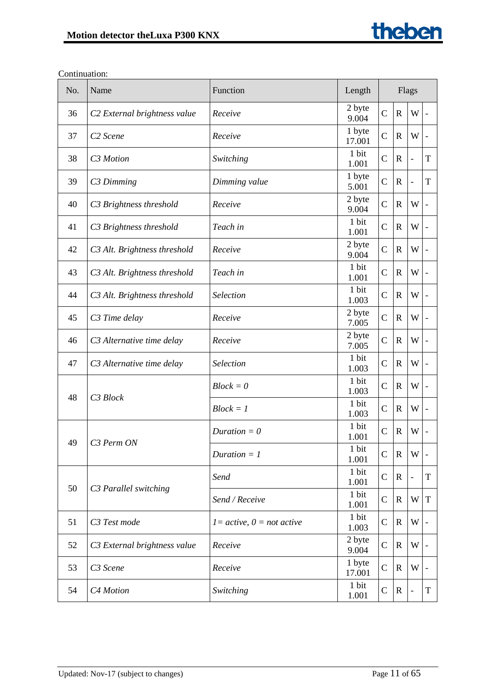| No. | Name                                     | Function                     | Length           | Flags          |              |                          |                          |  |  |
|-----|------------------------------------------|------------------------------|------------------|----------------|--------------|--------------------------|--------------------------|--|--|
| 36  | C <sub>2</sub> External brightness value | Receive                      | 2 byte<br>9.004  | $\overline{C}$ | $\mathbf R$  | W                        |                          |  |  |
| 37  | C <sub>2</sub> Scene                     | Receive                      | 1 byte<br>17.001 | $\mathcal{C}$  | $\mathbf R$  | W                        |                          |  |  |
| 38  | C <sub>3</sub> Motion                    | Switching                    | 1 bit<br>1.001   | $\mathcal{C}$  | $\mathbf R$  | $\overline{\phantom{0}}$ | $\mathbf T$              |  |  |
| 39  | C <sub>3</sub> Dimming                   | Dimming value                | 1 byte<br>5.001  | $\mathcal{C}$  | $\mathbb{R}$ | $\overline{\phantom{0}}$ | T                        |  |  |
| 40  | C3 Brightness threshold                  | Receive                      | 2 byte<br>9.004  | $\mathcal{C}$  | $\mathbb{R}$ | W                        |                          |  |  |
| 41  | C3 Brightness threshold                  | Teach in                     | 1 bit<br>1.001   | $\mathcal{C}$  | $\mathbf R$  | W                        | $\overline{\phantom{0}}$ |  |  |
| 42  | C3 Alt. Brightness threshold             | Receive                      | 2 byte<br>9.004  | $\mathcal{C}$  | R            | W                        |                          |  |  |
| 43  | C3 Alt. Brightness threshold             | Teach in                     | 1 bit<br>1.001   | $\mathcal{C}$  | $\mathbf R$  | W                        |                          |  |  |
| 44  | C3 Alt. Brightness threshold             | <b>Selection</b>             | 1 bit<br>1.003   | $\mathcal{C}$  | $\mathbb{R}$ | W                        |                          |  |  |
| 45  | C3 Time delay                            | Receive                      | 2 byte<br>7.005  | $\mathcal{C}$  | $\mathbf R$  | W                        |                          |  |  |
| 46  | C3 Alternative time delay                | Receive                      | 2 byte<br>7.005  | $\mathcal{C}$  | $\mathbf R$  | W                        |                          |  |  |
| 47  | C3 Alternative time delay                | Selection                    | 1 bit<br>1.003   | $\mathcal{C}$  | $\mathbf R$  | W                        |                          |  |  |
|     | C3 Block                                 | $Block = 0$                  | 1 bit<br>1.003   | $\mathcal{C}$  | R            | W                        |                          |  |  |
| 48  |                                          | $Block = 1$                  | 1 bit<br>1.003   | $\mathcal{C}$  | $\mathbb{R}$ | W                        |                          |  |  |
| 49  | C <sub>3</sub> Perm ON                   | Duration $= 0$               | 1 bit<br>1.001   | $\mathcal{C}$  | $\mathbb{R}$ | W                        |                          |  |  |
|     |                                          | Duration $= 1$               | 1 bit<br>1.001   | $\mathcal{C}$  | $\mathbf R$  | W                        |                          |  |  |
| 50  |                                          | Send                         | 1 bit<br>1.001   | $\mathcal{C}$  | $\mathbf R$  |                          | T                        |  |  |
|     | C3 Parallel switching                    | Send / Receive               | 1 bit<br>1.001   | $\mathcal{C}$  | $\mathbf R$  | W                        | T                        |  |  |
| 51  | C3 Test mode                             | $1 = active, 0 = not active$ | 1 bit<br>1.003   | $\mathcal{C}$  | $\mathbf R$  | W                        |                          |  |  |
| 52  | C3 External brightness value             | Receive                      | 2 byte<br>9.004  | $\mathcal{C}$  | $\mathbf R$  | W                        |                          |  |  |
| 53  | C <sub>3</sub> Scene                     | Receive                      | 1 byte<br>17.001 | $\mathcal{C}$  | R            | W                        |                          |  |  |
| 54  | C4 Motion                                | Switching                    | 1 bit<br>1.001   | $\mathcal{C}$  | $\mathbf R$  | $\overline{\phantom{0}}$ | T                        |  |  |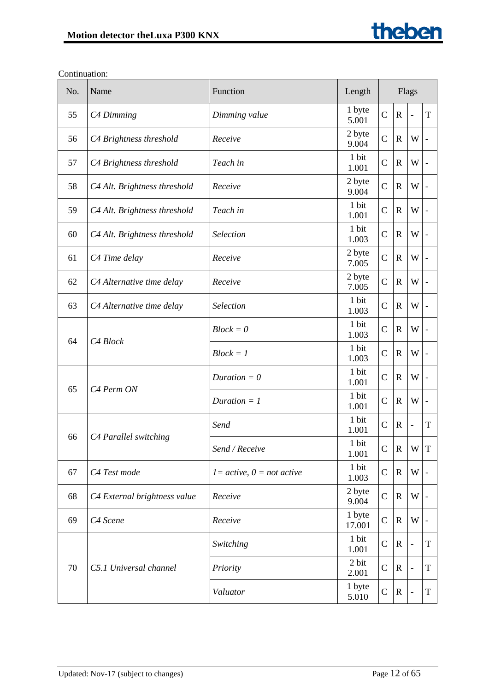| No. | Name                         | Function                     | Length           | Flags          |              |                          |   |  |  |
|-----|------------------------------|------------------------------|------------------|----------------|--------------|--------------------------|---|--|--|
| 55  | C4 Dimming                   | Dimming value                | 1 byte<br>5.001  | $\overline{C}$ | $\mathbf R$  | $\Box$                   | T |  |  |
| 56  | C4 Brightness threshold      | Receive                      | 2 byte<br>9.004  | $\mathsf{C}$   | $\mathbf R$  | W                        |   |  |  |
| 57  | C4 Brightness threshold      | Teach in                     | 1 bit<br>1.001   | $\overline{C}$ | $\mathbb{R}$ | W                        |   |  |  |
| 58  | C4 Alt. Brightness threshold | Receive                      | 2 byte<br>9.004  | $\overline{C}$ | $\mathbf R$  | W                        |   |  |  |
| 59  | C4 Alt. Brightness threshold | Teach in                     | 1 bit<br>1.001   | C              | $\mathbf R$  | W                        |   |  |  |
| 60  | C4 Alt. Brightness threshold | Selection                    | 1 bit<br>1.003   | $\mathsf{C}$   | $\mathbb{R}$ | W                        |   |  |  |
| 61  | C4 Time delay                | Receive                      | 2 byte<br>7.005  | $\overline{C}$ | $\mathbf R$  | W                        |   |  |  |
| 62  | C4 Alternative time delay    | Receive                      | 2 byte<br>7.005  | $\overline{C}$ | $\mathbf R$  | W                        |   |  |  |
| 63  | C4 Alternative time delay    | Selection                    | 1 bit<br>1.003   | $\mathsf C$    | $\mathbb{R}$ | W                        |   |  |  |
|     | C4 Block                     | $Block = 0$                  | 1 bit<br>1.003   | $\overline{C}$ | $\mathbf R$  | W                        |   |  |  |
| 64  |                              | $Block = 1$                  | 1 bit<br>1.003   | $\mathsf{C}$   | $\mathbf R$  | W                        |   |  |  |
| 65  | C <sub>4</sub> Perm ON       | Duration $= 0$               | 1 bit<br>1.001   | $\mathsf{C}$   | $\mathbf R$  | W                        |   |  |  |
|     |                              | Duration $= 1$               | 1 bit<br>1.001   | $\overline{C}$ | $\mathbf R$  | W                        |   |  |  |
| 66  |                              | Send                         | 1 bit<br>1.001   | $\overline{C}$ | $\mathbb{R}$ | $\overline{\phantom{a}}$ | T |  |  |
|     | C4 Parallel switching        | Send / Receive               | 1 bit<br>1.001   | $\mathbf C$    | ${\bf R}$    | W T                      |   |  |  |
| 67  | C4 Test mode                 | $1 = active, 0 = not active$ | 1 bit<br>1.003   | $\overline{C}$ | $\mathbf R$  | W                        |   |  |  |
| 68  | C4 External brightness value | Receive                      | 2 byte<br>9.004  | $\overline{C}$ | $\mathbf R$  | W                        |   |  |  |
| 69  | C4 Scene                     | Receive                      | 1 byte<br>17.001 | $\mathsf{C}$   | $\mathbf R$  | W                        |   |  |  |
|     |                              | Switching                    | 1 bit<br>1.001   | $\overline{C}$ | $\mathbf R$  | $\blacksquare$           | T |  |  |
| 70  | C5.1 Universal channel       | Priority                     | 2 bit<br>2.001   | $\mathsf{C}$   | $\mathbf R$  | $\blacksquare$           | T |  |  |
|     |                              | Valuator                     | 1 byte<br>5.010  | $\overline{C}$ | $\mathbb{R}$ | $\overline{\phantom{a}}$ | T |  |  |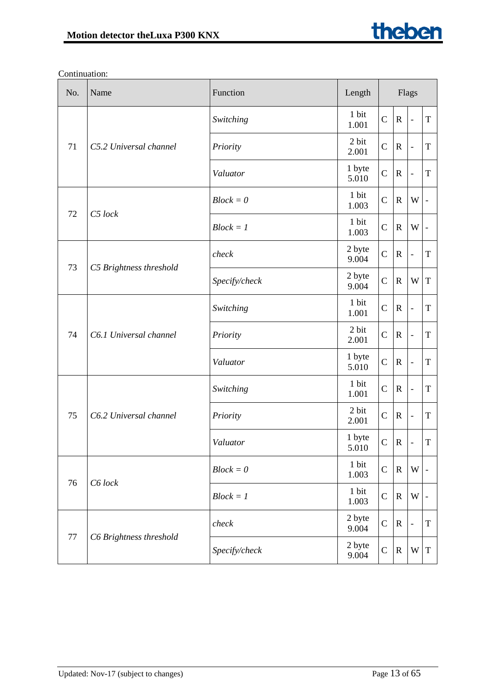| No. | Name                    | Function      | Length          | Flags          |              |                              |                              |
|-----|-------------------------|---------------|-----------------|----------------|--------------|------------------------------|------------------------------|
|     |                         | Switching     | 1 bit<br>1.001  | $\mathcal{C}$  | $\mathbb{R}$ | $\qquad \qquad \blacksquare$ | $\mathbf T$                  |
| 71  | C5.2 Universal channel  | Priority      | 2 bit<br>2.001  | $\mathsf{C}$   | $\mathbb{R}$ | $\blacksquare$               | T                            |
|     |                         | Valuator      | 1 byte<br>5.010 | $\overline{C}$ | $\mathbb{R}$ | $\overline{\phantom{0}}$     | $\mathbf T$                  |
| 72  | C5 lock                 | $Block = 0$   | 1 bit<br>1.003  | $\mathcal{C}$  | $\mathbf R$  | W                            | $\qquad \qquad \blacksquare$ |
|     |                         | $Block = 1$   | 1 bit<br>1.003  | $\mathsf{C}$   | $\mathbb{R}$ | W                            |                              |
| 73  |                         | check         | 2 byte<br>9.004 | $\mathsf{C}$   | $\mathbf R$  | $\blacksquare$               | T                            |
|     | C5 Brightness threshold | Specify/check | 2 byte<br>9.004 | $\mathcal{C}$  | $\mathbf R$  | W                            | $\mathbf T$                  |
|     | C6.1 Universal channel  | Switching     | 1 bit<br>1.001  | $\mathcal{C}$  | $\mathbf R$  | $\blacksquare$               | T                            |
| 74  |                         | Priority      | 2 bit<br>2.001  | $\mathcal{C}$  | $\mathbf R$  | $\overline{\phantom{0}}$     | T                            |
|     |                         | Valuator      | 1 byte<br>5.010 | $\overline{C}$ | $\mathbf R$  | $\frac{1}{2}$                | T                            |
|     |                         | Switching     | 1 bit<br>1.001  | $\mathsf{C}$   | $\mathbb{R}$ | $\overline{a}$               | T                            |
| 75  | C6.2 Universal channel  | Priority      | 2 bit<br>2.001  | $\mathsf{C}$   | $\mathbb{R}$ | $\qquad \qquad \blacksquare$ | T                            |
|     |                         | Valuator      | 1 byte<br>5.010 | $\mathsf{C}$   | $\mathbb{R}$ | $\overline{a}$               | ${\bf T}$                    |
|     |                         | $Block = 0$   | 1 bit<br>1.003  | $\mathsf{C}$   | $\mathbb{R}$ | W                            |                              |
| 76  | C6 lock                 | $Block = 1$   | 1 bit<br>1.003  | $\mathsf{C}$   | $\mathbb{R}$ | W                            |                              |
|     |                         | check         | 2 byte<br>9.004 | $\mathsf{C}$   | $\mathbb{R}$ | $\overline{\phantom{0}}$     | $\mathbf T$                  |
| 77  | C6 Brightness threshold | Specify/check | 2 byte<br>9.004 | $\mathsf{C}$   | $\mathbb{R}$ | W                            | $\mathbf T$                  |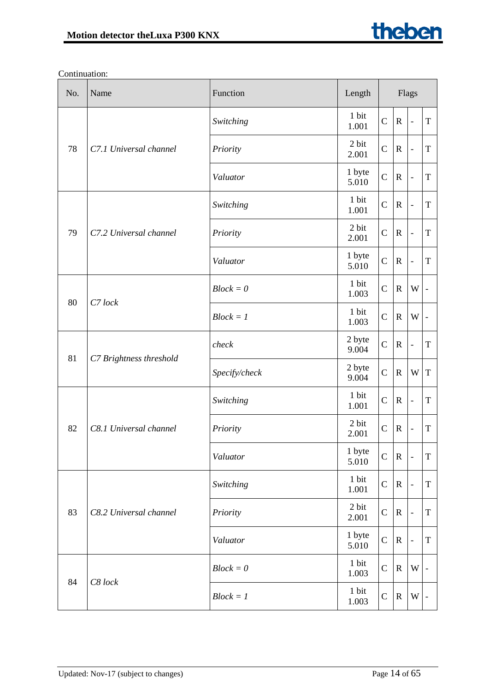| No. | Name                    | Function      | Length          | Flags          |              |                          |                              |
|-----|-------------------------|---------------|-----------------|----------------|--------------|--------------------------|------------------------------|
|     |                         | Switching     | 1 bit<br>1.001  | $\mathcal{C}$  | $\mathbb{R}$ | $\overline{\phantom{a}}$ | $\mathbf T$                  |
| 78  | C7.1 Universal channel  | Priority      | 2 bit<br>2.001  | $\mathsf{C}$   | $\mathbf R$  | $\overline{\phantom{a}}$ | $\mathbf T$                  |
|     |                         | Valuator      | 1 byte<br>5.010 | $\overline{C}$ | $\mathbf R$  | $\blacksquare$           | T                            |
|     |                         | Switching     | 1 bit<br>1.001  | $\mathcal{C}$  | $\mathbb{R}$ | $\overline{\phantom{a}}$ | $\mathbf T$                  |
| 79  | C7.2 Universal channel  | Priority      | 2 bit<br>2.001  | $\mathbf C$    | $\mathbf R$  | $\overline{\phantom{a}}$ | $\mathbf T$                  |
|     |                         | Valuator      | 1 byte<br>5.010 | $\mathbf C$    | $\mathbb{R}$ | $\blacksquare$           | $\mathbf T$                  |
|     |                         | $Block = 0$   | 1 bit<br>1.003  | $\mathcal{C}$  | $\mathbb{R}$ | W                        | $\qquad \qquad \blacksquare$ |
| 80  | C7 lock                 | $Block = 1$   | 1 bit<br>1.003  | $\mathsf{C}$   | $\mathbb{R}$ | W                        |                              |
| 81  | C7 Brightness threshold | check         | 2 byte<br>9.004 | $\mathcal{C}$  | $\mathbf R$  | $\blacksquare$           | T                            |
|     |                         | Specify/check | 2 byte<br>9.004 | $\overline{C}$ | $\mathbb{R}$ | W                        | $\mathbf T$                  |
|     | C8.1 Universal channel  | Switching     | 1 bit<br>1.001  | $\mathcal{C}$  | $\mathbf R$  | $\overline{\phantom{a}}$ | $\mathbf T$                  |
| 82  |                         | Priority      | 2 bit<br>2.001  | $\mathsf{C}$   | $\mathbb{R}$ | $\overline{\phantom{a}}$ | $\mathbf T$                  |
|     |                         | Valuator      | 1 byte<br>5.010 | $\overline{C}$ | ${\bf R}$    |                          | T                            |
|     |                         | Switching     | 1 bit<br>1.001  | $\mathsf{C}$   | $\mathbf R$  | $\overline{\phantom{a}}$ | $\mathbf T$                  |
| 83  | C8.2 Universal channel  | Priority      | 2 bit<br>2.001  | $\mathbf C$    | $\mathbf R$  | $\overline{\phantom{a}}$ | T                            |
|     |                         | Valuator      | 1 byte<br>5.010 | $\mathsf{C}$   | $\mathbf R$  | $\blacksquare$           | $\mathbf T$                  |
|     | C8 lock                 | $Block = 0$   | 1 bit<br>1.003  | $\mathsf{C}$   | $\mathbf R$  | W                        |                              |
| 84  |                         | $Block = 1$   | 1 bit<br>1.003  | $\mathsf C$    | $\mathbf R$  | W                        |                              |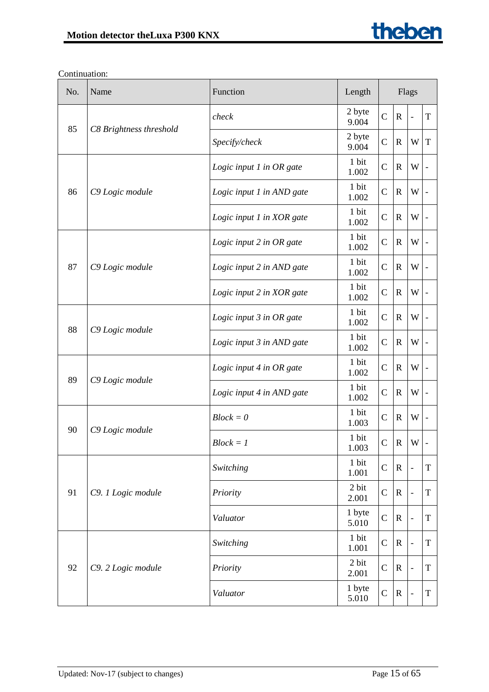| No. | Name                    | Function                  | Length<br>Flags |                |              |                          |             |
|-----|-------------------------|---------------------------|-----------------|----------------|--------------|--------------------------|-------------|
| 85  | C8 Brightness threshold | check                     | 2 byte<br>9.004 | $\mathcal{C}$  | $\mathbb{R}$ | $\overline{\phantom{0}}$ | T           |
|     |                         | Specify/check             | 2 byte<br>9.004 | $\mathbf C$    | $\mathbf R$  | W                        | $\mathbf T$ |
|     |                         | Logic input 1 in OR gate  | 1 bit<br>1.002  | $\mathbf C$    | $\mathbf R$  | W                        |             |
| 86  | C9 Logic module         | Logic input 1 in AND gate | 1 bit<br>1.002  | $\mathcal{C}$  | $\mathbf R$  | W                        |             |
|     |                         | Logic input 1 in XOR gate | 1 bit<br>1.002  | $\mathcal{C}$  | $\mathbb{R}$ | W                        |             |
|     |                         | Logic input 2 in OR gate  | 1 bit<br>1.002  | $\mathcal{C}$  | $\mathbf R$  | W                        |             |
| 87  | C9 Logic module         | Logic input 2 in AND gate | 1 bit<br>1.002  | $\mathcal{C}$  | $\mathbf R$  | W                        |             |
|     |                         | Logic input 2 in XOR gate | 1 bit<br>1.002  | $\mathcal{C}$  | $\mathbf R$  | W                        |             |
| 88  | C9 Logic module         | Logic input 3 in OR gate  | 1 bit<br>1.002  | $\mathcal{C}$  | $\mathbf R$  | W                        |             |
|     |                         | Logic input 3 in AND gate | 1 bit<br>1.002  | $\mathcal{C}$  | $\mathbf R$  | W                        |             |
|     | 89<br>C9 Logic module   | Logic input 4 in OR gate  | 1 bit<br>1.002  | $\mathcal{C}$  | $\mathbf R$  | W                        |             |
|     |                         | Logic input 4 in AND gate | 1 bit<br>1.002  | $\mathcal{C}$  | $\mathbf R$  | W                        |             |
| 90  |                         | $Block = 0$               | 1 bit<br>1.003  | $\mathbf C$    | $\mathbf R$  | W                        |             |
|     | C9 Logic module         | $Block = 1$               | 1 bit<br>1.003  | $\mathcal{C}$  | $\mathbf R$  | W                        |             |
|     |                         | Switching                 | 1 bit<br>1.001  | $\mathbf C$    | $\mathbf R$  | $\overline{a}$           | $\mathbf T$ |
| 91  | C9. 1 Logic module      | Priority                  | 2 bit<br>2.001  | $\mathbf C$    | $\mathbf R$  | $\overline{a}$           | $\mathbf T$ |
|     |                         | Valuator                  | 1 byte<br>5.010 | $\mathsf{C}$   | $\mathbf R$  | $\frac{1}{2}$            | $\mathbf T$ |
|     |                         | Switching                 | 1 bit<br>1.001  | $\mathbf C$    | $\mathbf R$  | $\overline{a}$           | T           |
| 92  | C9. 2 Logic module      | Priority                  | 2 bit<br>2.001  | $\mathbf C$    | $\mathbf R$  |                          | $\mathbf T$ |
|     |                         | Valuator                  | 1 byte<br>5.010 | $\overline{C}$ | $\mathbf R$  |                          | T           |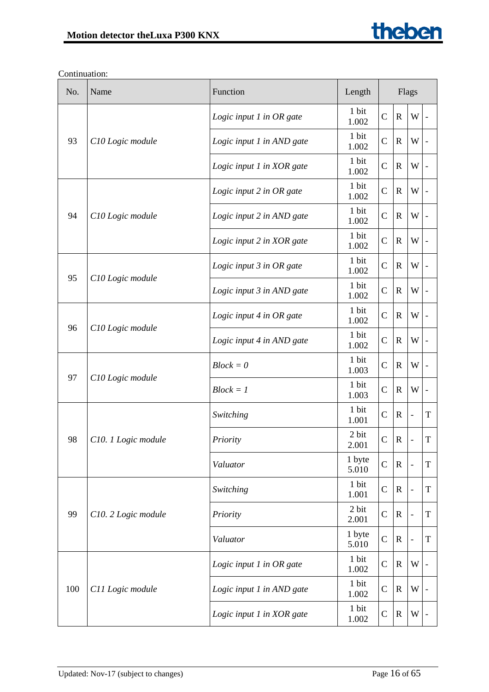| No. | Name                | Function                  | Length          | Flags         |              |                          |             |
|-----|---------------------|---------------------------|-----------------|---------------|--------------|--------------------------|-------------|
|     |                     | Logic input 1 in OR gate  | 1 bit<br>1.002  | $\mathcal{C}$ | $\mathbb{R}$ | W                        |             |
| 93  | C10 Logic module    | Logic input 1 in AND gate | 1 bit<br>1.002  | $\mathcal{C}$ | $\mathbf R$  | W                        |             |
|     |                     | Logic input 1 in XOR gate | 1 bit<br>1.002  | $\mathcal{C}$ | $\mathbf R$  | W                        |             |
|     |                     | Logic input 2 in OR gate  | 1 bit<br>1.002  | $\mathbf C$   | $\mathbf R$  | W                        |             |
| 94  | C10 Logic module    | Logic input 2 in AND gate | 1 bit<br>1.002  | $\mathbf C$   | $\mathbf R$  | W                        |             |
|     |                     | Logic input 2 in XOR gate | 1 bit<br>1.002  | $\mathbf C$   | $\mathbb{R}$ | W                        |             |
| 95  |                     | Logic input 3 in OR gate  | 1 bit<br>1.002  | $\mathsf{C}$  | $\mathbf R$  | W                        |             |
|     | C10 Logic module    | Logic input 3 in AND gate | 1 bit<br>1.002  | $\mathbf C$   | $\mathbf R$  | W                        |             |
| 96  | C10 Logic module    | Logic input 4 in OR gate  | 1 bit<br>1.002  | $\mathcal{C}$ | $\mathbf R$  | W                        |             |
|     |                     | Logic input 4 in AND gate | 1 bit<br>1.002  | $\mathbf C$   | $\mathbf R$  | W                        |             |
| 97  | C10 Logic module    | $Block = 0$               | 1 bit<br>1.003  | $\mathcal{C}$ | $\mathbb{R}$ | W                        |             |
|     |                     | $Block = 1$               | 1 bit<br>1.003  | $\mathcal{C}$ | $\mathbf R$  | W                        |             |
|     |                     | Switching                 | 1 bit<br>1.001  | $\mathcal{C}$ | $\mathbb{R}$ |                          | $\mathbf T$ |
| 98  | C10. 1 Logic module | Priority                  | 2 bit<br>2.001  | $\mathcal{C}$ | $\mathbb{R}$ |                          | T           |
|     |                     | Valuator                  | 1 byte<br>5.010 | $\mathsf{C}$  | $\mathbf R$  |                          | T           |
|     |                     | Switching                 | 1 bit<br>1.001  | $\mathcal{C}$ | $\mathbf R$  | $\overline{\phantom{0}}$ | T           |
| 99  | C10. 2 Logic module | Priority                  | 2 bit<br>2.001  | $\mathcal{C}$ | $\mathbf R$  | $\overline{\phantom{0}}$ | T           |
|     |                     | Valuator                  | 1 byte<br>5.010 | $\mathcal{C}$ | $\mathbf R$  |                          | T           |
|     |                     | Logic input 1 in OR gate  | 1 bit<br>1.002  | $\mathsf{C}$  | $\mathbf R$  | W                        |             |
| 100 | C11 Logic module    | Logic input 1 in AND gate | 1 bit<br>1.002  | $\mathcal{C}$ | $\mathbf R$  | W                        |             |
|     |                     | Logic input 1 in XOR gate | 1 bit<br>1.002  | $\mathsf{C}$  | $\mathbf R$  | W                        |             |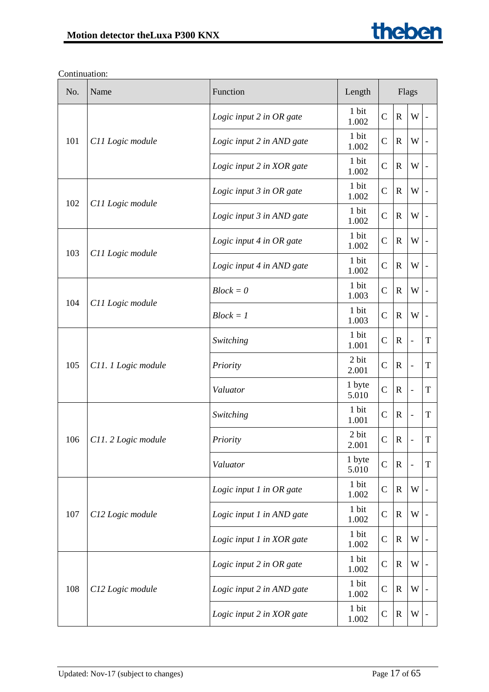| No. | Name                | Function                  | Length<br>Flags |                |              |                          |             |
|-----|---------------------|---------------------------|-----------------|----------------|--------------|--------------------------|-------------|
|     |                     | Logic input 2 in OR gate  | 1 bit<br>1.002  | $\mathcal{C}$  | $\mathbb{R}$ | W                        |             |
| 101 | C11 Logic module    | Logic input 2 in AND gate | 1 bit<br>1.002  | $\mathcal{C}$  | $\mathbf R$  | W                        |             |
|     |                     | Logic input 2 in XOR gate | 1 bit<br>1.002  | $\mathcal{C}$  | $\mathbf R$  | W                        |             |
| 102 |                     | Logic input 3 in OR gate  | 1 bit<br>1.002  | $\mathbf C$    | $\mathbf R$  | W                        |             |
|     | C11 Logic module    | Logic input 3 in AND gate | 1 bit<br>1.002  | $\mathbf C$    | $\mathbf R$  | W                        |             |
| 103 |                     | Logic input 4 in OR gate  | 1 bit<br>1.002  | $\mathsf{C}$   | $\mathbb{R}$ | W                        |             |
|     | C11 Logic module    | Logic input 4 in AND gate | 1 bit<br>1.002  | $\mathsf{C}$   | $\mathbf R$  | W                        |             |
| 104 | C11 Logic module    | $Block = 0$               | 1 bit<br>1.003  | $\mathsf{C}$   | $\mathbf R$  | W                        |             |
|     |                     | $Block = 1$               | 1 bit<br>1.003  | $\mathcal{C}$  | $\mathbf R$  | W                        |             |
| 105 | C11. 1 Logic module | Switching                 | 1 bit<br>1.001  | $\mathbf C$    | $\mathbf R$  | $\overline{a}$           | $\mathbf T$ |
|     |                     | Priority                  | 2 bit<br>2.001  | $\mathcal{C}$  | $\mathbb{R}$ | $\overline{a}$           | T           |
|     |                     | Valuator                  | 1 byte<br>5.010 | $\mathcal{C}$  | $\mathbf R$  |                          | T           |
|     |                     | Switching                 | 1 bit<br>1.001  | $\mathcal{C}$  | $\mathbb{R}$ | $\overline{\phantom{0}}$ | T           |
| 106 | C11. 2 Logic module | Priority                  | 2 bit<br>2.001  | $\mathcal{C}$  | $\mathbb{R}$ |                          | T           |
|     |                     | Valuator                  | 1 byte<br>5.010 | $\overline{C}$ | $\mathbf R$  |                          | T           |
|     |                     | Logic input 1 in OR gate  | 1 bit<br>1.002  | $\mathcal{C}$  | $\mathbf R$  | W                        |             |
| 107 | C12 Logic module    | Logic input 1 in AND gate | 1 bit<br>1.002  | $\mathcal{C}$  | $\mathbf R$  | W                        |             |
|     |                     | Logic input 1 in XOR gate | 1 bit<br>1.002  | $\mathcal{C}$  | $\mathbf R$  | W                        |             |
|     |                     | Logic input 2 in OR gate  | 1 bit<br>1.002  | $\mathsf{C}$   | $\mathbf R$  | W                        |             |
| 108 | C12 Logic module    | Logic input 2 in AND gate | 1 bit<br>1.002  | $\mathcal{C}$  | $\mathbf R$  | W                        |             |
|     |                     | Logic input 2 in XOR gate | 1 bit<br>1.002  | $\mathsf{C}$   | $\mathbf R$  | W                        |             |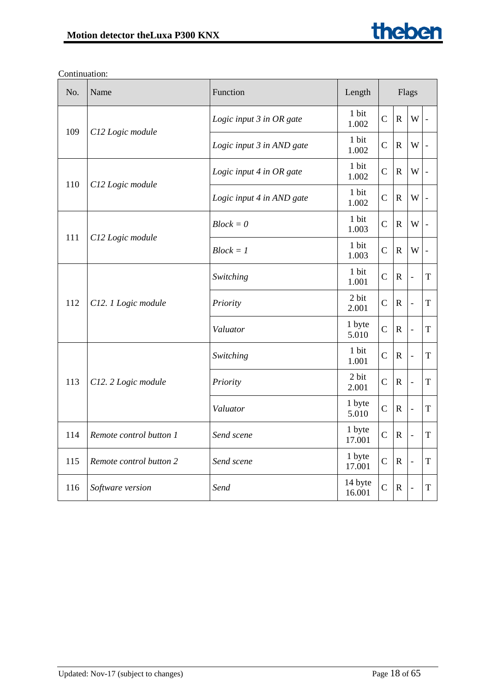| No. | Name                    | Function                  | Length<br>Flags   |                |              |                          |                |
|-----|-------------------------|---------------------------|-------------------|----------------|--------------|--------------------------|----------------|
| 109 | C12 Logic module        | Logic input 3 in OR gate  | 1 bit<br>1.002    | $\mathbf C$    | $\mathbf R$  | W                        | $\blacksquare$ |
|     |                         | Logic input 3 in AND gate | 1 bit<br>1.002    | $\mathcal{C}$  | $\mathbf R$  | W                        |                |
|     |                         | Logic input 4 in OR gate  | 1 bit<br>1.002    | $\mathsf{C}$   | $\mathbf R$  | W                        |                |
| 110 | C12 Logic module        | Logic input 4 in AND gate | 1 bit<br>1.002    | $\mathbf C$    | $\mathbf R$  | W                        |                |
|     |                         | $Block = 0$               | 1 bit<br>1.003    | $\mathcal{C}$  | $\mathbf R$  | W                        |                |
| 111 | C12 Logic module        | $Block = 1$               | 1 bit<br>1.003    | $\mathcal{C}$  | $\mathbf R$  | W                        | $\blacksquare$ |
| 112 | C12. 1 Logic module     | Switching                 | 1 bit<br>1.001    | $\mathbf C$    | $\mathbf R$  | $\overline{\phantom{0}}$ | T              |
|     |                         | Priority                  | 2 bit<br>2.001    | $\mathsf{C}$   | $\mathbf R$  | $\blacksquare$           | $\mathbf T$    |
|     |                         | Valuator                  | 1 byte<br>5.010   | $\mathsf{C}$   | $\mathbf R$  | $\overline{\phantom{0}}$ | $\mathbf T$    |
|     |                         | Switching                 | 1 bit<br>1.001    | $\mathbf C$    | $\mathbf R$  | $\frac{1}{2}$            | T              |
| 113 | C12. 2 Logic module     | Priority                  | 2 bit<br>2.001    | $\mathsf{C}$   | $\mathbf{R}$ | $\blacksquare$           | $\mathbf T$    |
|     |                         | Valuator                  | 1 byte<br>5.010   | $\mathsf{C}$   | $\mathbf R$  | $\frac{1}{2}$            | T              |
| 114 | Remote control button 1 | Send scene                | 1 byte<br>17.001  | $\mathbf C$    | $\mathbf R$  | $\overline{a}$           | T              |
| 115 | Remote control button 2 | Send scene                | 1 byte<br>17.001  | $\mathbf C$    | $\mathbf R$  | $\frac{1}{2}$            | $\mathbf T$    |
| 116 | Software version        | Send                      | 14 byte<br>16.001 | $\overline{C}$ | $\mathbf R$  | $\overline{a}$           | T              |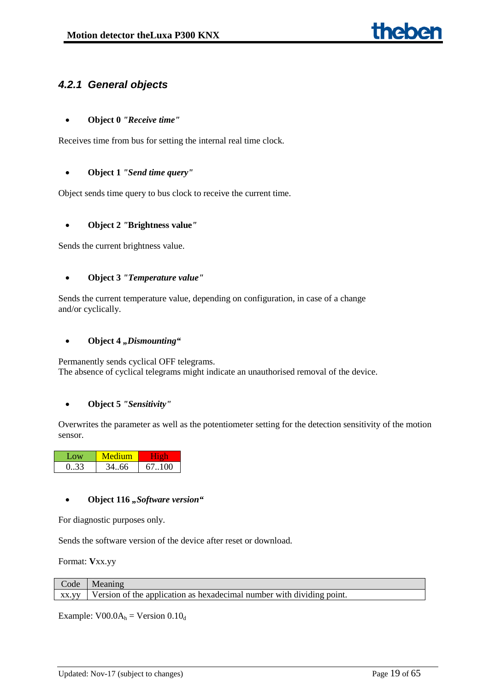# <span id="page-18-0"></span>*4.2.1 General objects*

### • **Object 0** *"Receive time"*

Receives time from bus for setting the internal real time clock.

#### • **Object 1** *"Send time query"*

Object sends time query to bus clock to receive the current time.

### • **Object 2** *"***Brightness value***"*

Sends the current brightness value.

### • **Object 3** *"Temperature value"*

Sends the current temperature value, depending on configuration, in case of a change and/or cyclically.

#### • Object 4 "*Dismounting"*

Permanently sends cyclical OFF telegrams. The absence of cyclical telegrams might indicate an unauthorised removal of the device.

#### • **Object 5** *"Sensitivity"*

Overwrites the parameter as well as the potentiometer setting for the detection sensitivity of the motion sensor.

| Low  |       |        |
|------|-------|--------|
| 0.33 | 34.66 | 67.100 |

#### • **Object 116** *"Software version"*

For diagnostic purposes only.

Sends the software version of the device after reset or download.

Format: **V**xx.yy

| Code  | Meaning                                                               |
|-------|-----------------------------------------------------------------------|
| XX.VV | Version of the application as hexadecimal number with dividing point. |

Example:  $VO0.0A<sub>h</sub> = Version 0.10<sub>d</sub>$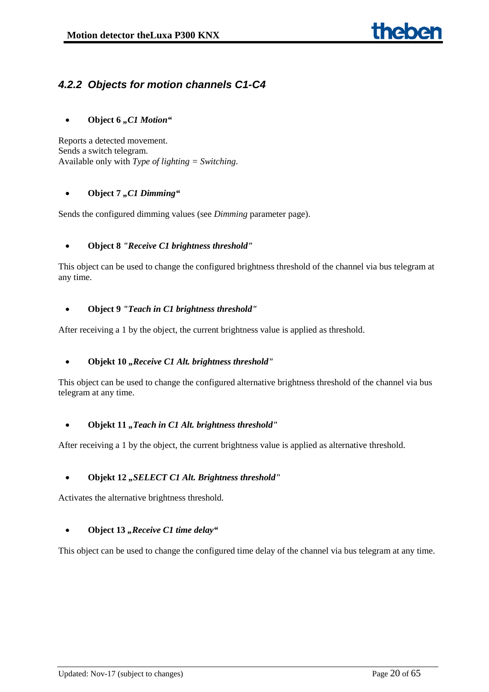# <span id="page-19-0"></span>*4.2.2 Objects for motion channels C1-C4*

# • **Object 6** *"C1 Motion"*

Reports a detected movement. Sends a switch telegram. Available only with *Type of lighting = Switching*.

### • Object 7 ..C1 Dimming"

Sends the configured dimming values (see *Dimming* parameter page).

### • **Object 8** *"Receive C1 brightness threshold"*

This object can be used to change the configured brightness threshold of the channel via bus telegram at any time.

### • **Object 9** *"Teach in C1 brightness threshold"*

After receiving a 1 by the object, the current brightness value is applied as threshold.

# • **Objekt 10** *"Receive C1 Alt. brightness threshold"*

This object can be used to change the configured alternative brightness threshold of the channel via bus telegram at any time.

#### • Objekt 11, *Teach in C1 Alt. brightness threshold*"

After receiving a 1 by the object, the current brightness value is applied as alternative threshold.

#### • **Objekt 12** *"SELECT C1 Alt. Brightness threshold"*

Activates the alternative brightness threshold.

#### • Object 13 *"Receive C1 time delay*"

This object can be used to change the configured time delay of the channel via bus telegram at any time.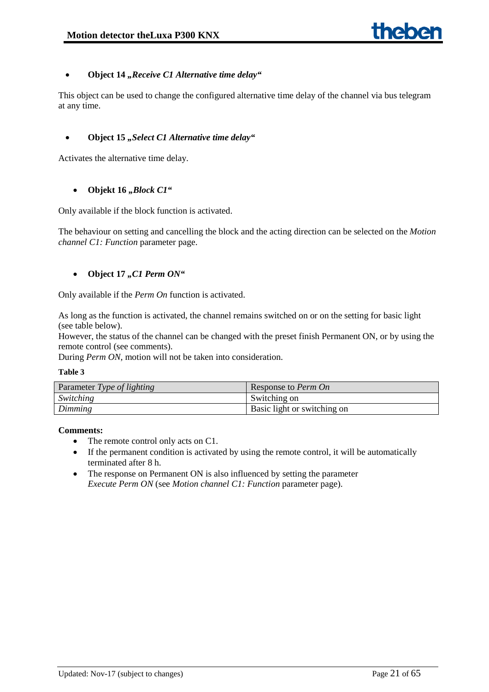### • **Object 14** *"Receive C1 Alternative time delay"*

This object can be used to change the configured alternative time delay of the channel via bus telegram at any time.

### • Object 15 "Select C1 Alternative time delay"

Activates the alternative time delay.

### • Objekt 16 "Block C1"

Only available if the block function is activated.

The behaviour on setting and cancelling the block and the acting direction can be selected on the *Motion channel C1: Function* parameter page.

### • Object 17, C1 Perm ON"

Only available if the *Perm On* function is activated.

As long as the function is activated, the channel remains switched on or on the setting for basic light (see table below).

However, the status of the channel can be changed with the preset finish Permanent ON, or by using the remote control (see comments).

During *Perm ON,* motion will not be taken into consideration.

#### **Table 3**

| Parameter Type of lighting | Response to <i>Perm On</i>  |
|----------------------------|-----------------------------|
| Switching                  | Switching on                |
| Dimming                    | Basic light or switching on |

#### **Comments:**

- The remote control only acts on C1.
- If the permanent condition is activated by using the remote control, it will be automatically terminated after 8 h.
- The response on Permanent ON is also influenced by setting the parameter *Execute Perm ON* (see *Motion channel C1: Function* parameter page).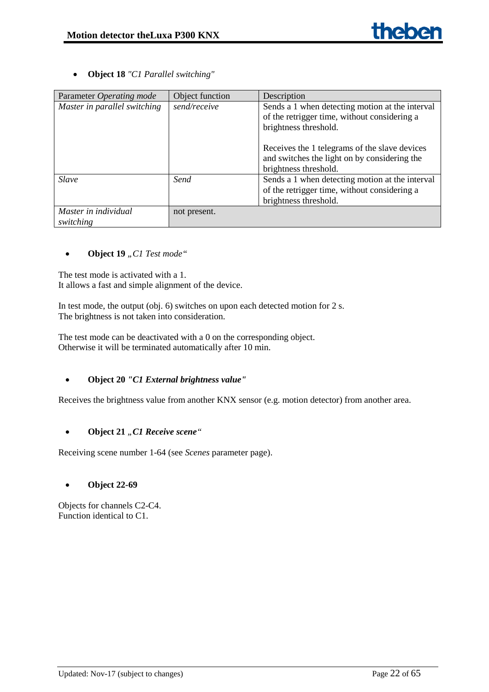• **Object 18** *"C1 Parallel switching"*

| Parameter Operating mode          | Object function | Description                                                                                                                                                               |
|-----------------------------------|-----------------|---------------------------------------------------------------------------------------------------------------------------------------------------------------------------|
| Master in parallel switching      | send/receive    | Sends a 1 when detecting motion at the interval<br>of the retrigger time, without considering a<br>brightness threshold.<br>Receives the 1 telegrams of the slave devices |
|                                   |                 | and switches the light on by considering the<br>brightness threshold.                                                                                                     |
| <b>Slave</b>                      | Send            | Sends a 1 when detecting motion at the interval<br>of the retrigger time, without considering a<br>brightness threshold.                                                  |
| Master in individual<br>switching | not present.    |                                                                                                                                                                           |

# • **Object 19** "C1 Test mode"

The test mode is activated with a 1. It allows a fast and simple alignment of the device.

In test mode, the output (obj. 6) switches on upon each detected motion for 2 s. The brightness is not taken into consideration.

The test mode can be deactivated with a 0 on the corresponding object. Otherwise it will be terminated automatically after 10 min.

# • **Object 20** *"C1 External brightness value"*

Receives the brightness value from another KNX sensor (e.g. motion detector) from another area.

# • Object 21 "C1 Receive scene"

Receiving scene number 1-64 (see *Scenes* parameter page).

#### • **Object 22-69**

Objects for channels C2-C4. Function identical to C1.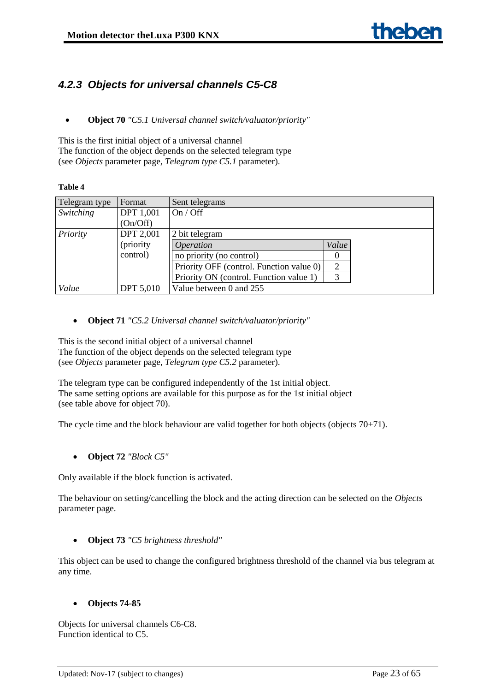# <span id="page-22-0"></span>*4.2.3 Objects for universal channels C5-C8*

• **Object 70** *"C5.1 Universal channel switch/valuator/priority"*

This is the first initial object of a universal channel The function of the object depends on the selected telegram type (see *Objects* parameter page, *Telegram type C5.1* parameter).

#### **Table 4**

| Telegram type | Format           | Sent telegrams                           |       |  |
|---------------|------------------|------------------------------------------|-------|--|
| Switching     | <b>DPT</b> 1,001 | On / Off                                 |       |  |
|               | (On/Off)         |                                          |       |  |
| Priority      | <b>DPT 2,001</b> | 2 bit telegram                           |       |  |
|               | (priority)       | <i><b>Operation</b></i>                  | Value |  |
|               | control)         | no priority (no control)                 | O     |  |
|               |                  | Priority OFF (control. Function value 0) | 2     |  |
|               |                  | Priority ON (control. Function value 1)  | 3     |  |
| Value         | <b>DPT 5,010</b> | Value between 0 and 255                  |       |  |

• **Object 71** *"C5.2 Universal channel switch/valuator/priority"*

This is the second initial object of a universal channel The function of the object depends on the selected telegram type (see *Objects* parameter page, *Telegram type C5.2* parameter).

The telegram type can be configured independently of the 1st initial object. The same setting options are available for this purpose as for the 1st initial object (see table above for object 70).

The cycle time and the block behaviour are valid together for both objects (objects 70+71).

• **Object 72** *"Block C5"*

Only available if the block function is activated.

The behaviour on setting/cancelling the block and the acting direction can be selected on the *Objects* parameter page.

#### • **Object 73** *"C5 brightness threshold"*

This object can be used to change the configured brightness threshold of the channel via bus telegram at any time.

# • **Objects 74-85**

Objects for universal channels C6-C8. Function identical to C5.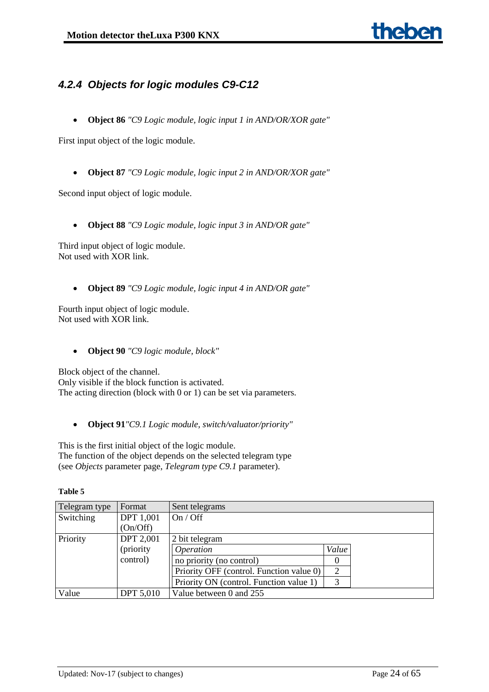# <span id="page-23-0"></span>*4.2.4 Objects for logic modules C9-C12*

• **Object 86** *"C9 Logic module, logic input 1 in AND/OR/XOR gate"*

First input object of the logic module.

• **Object 87** *"C9 Logic module, logic input 2 in AND/OR/XOR gate"*

Second input object of logic module.

• **Object 88** *"C9 Logic module, logic input 3 in AND/OR gate"*

Third input object of logic module. Not used with XOR link.

• **Object 89** *"C9 Logic module, logic input 4 in AND/OR gate"*

Fourth input object of logic module. Not used with XOR link.

• **Object 90** *"C9 logic module, block"*

Block object of the channel. Only visible if the block function is activated. The acting direction (block with 0 or 1) can be set via parameters.

- - **Object 91***"C9.1 Logic module, switch/valuator/priority"*

This is the first initial object of the logic module. The function of the object depends on the selected telegram type (see *Objects* parameter page, *Telegram type C9.1* parameter).

| Telegram type | Format           | Sent telegrams                           |                |  |  |
|---------------|------------------|------------------------------------------|----------------|--|--|
| Switching     | <b>DPT</b> 1,001 | On / Off                                 |                |  |  |
|               | (On/Off)         |                                          |                |  |  |
| Priority      | <b>DPT 2,001</b> | 2 bit telegram                           |                |  |  |
|               | (priority)       | <i><b>Operation</b></i>                  | Value          |  |  |
|               | control)         | no priority (no control)                 |                |  |  |
|               |                  | Priority OFF (control. Function value 0) | $\overline{2}$ |  |  |
|               |                  | Priority ON (control. Function value 1)  | 3              |  |  |
| Value         | <b>DPT 5,010</b> | Value between 0 and 255                  |                |  |  |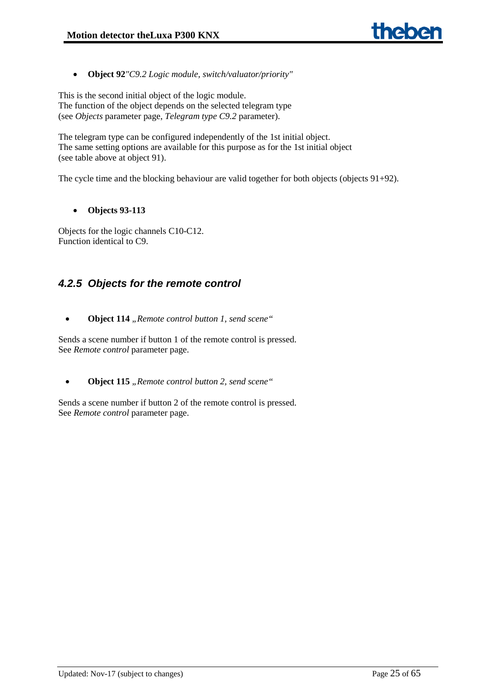• **Object 92***"C9.2 Logic module, switch/valuator/priority"*

This is the second initial object of the logic module. The function of the object depends on the selected telegram type (see *Objects* parameter page, *Telegram type C9.2* parameter).

The telegram type can be configured independently of the 1st initial object. The same setting options are available for this purpose as for the 1st initial object (see table above at object 91).

The cycle time and the blocking behaviour are valid together for both objects (objects 91+92).

# • **Objects 93-113**

Objects for the logic channels C10-C12. Function identical to C9.

# <span id="page-24-0"></span>*4.2.5 Objects for the remote control*

• **Object 114** *"Remote control button 1, send scene"*

Sends a scene number if button 1 of the remote control is pressed. See *Remote control* parameter page.

• **Object 115** *"Remote control button 2, send scene"* 

Sends a scene number if button 2 of the remote control is pressed. See *Remote control* parameter page.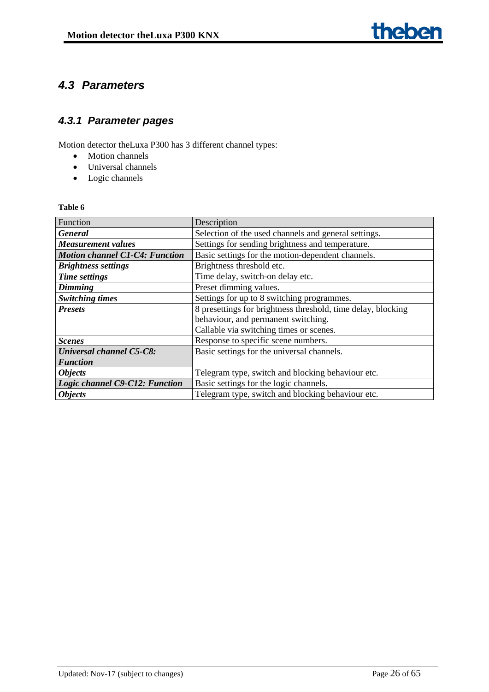# <span id="page-25-0"></span>*4.3 Parameters*

# <span id="page-25-1"></span>*4.3.1 Parameter pages*

Motion detector theLuxa P300 has 3 different channel types:

- Motion channels
- Universal channels
- Logic channels

| Function                              | Description                                                  |  |  |
|---------------------------------------|--------------------------------------------------------------|--|--|
| <b>General</b>                        | Selection of the used channels and general settings.         |  |  |
| <b>Measurement values</b>             | Settings for sending brightness and temperature.             |  |  |
| <b>Motion channel C1-C4: Function</b> | Basic settings for the motion-dependent channels.            |  |  |
| <b>Brightness settings</b>            | Brightness threshold etc.                                    |  |  |
| <b>Time settings</b>                  | Time delay, switch-on delay etc.                             |  |  |
| <b>Dimming</b>                        | Preset dimming values.                                       |  |  |
| <b>Switching times</b>                | Settings for up to 8 switching programmes.                   |  |  |
| <b>Presets</b>                        | 8 presettings for brightness threshold, time delay, blocking |  |  |
|                                       | behaviour, and permanent switching.                          |  |  |
|                                       | Callable via switching times or scenes.                      |  |  |
| <b>Scenes</b>                         | Response to specific scene numbers.                          |  |  |
| <b>Universal channel C5-C8:</b>       | Basic settings for the universal channels.                   |  |  |
| <b>Function</b>                       |                                                              |  |  |
| <b>Objects</b>                        | Telegram type, switch and blocking behaviour etc.            |  |  |
| Logic channel C9-C12: Function        | Basic settings for the logic channels.                       |  |  |
| <b>Objects</b>                        | Telegram type, switch and blocking behaviour etc.            |  |  |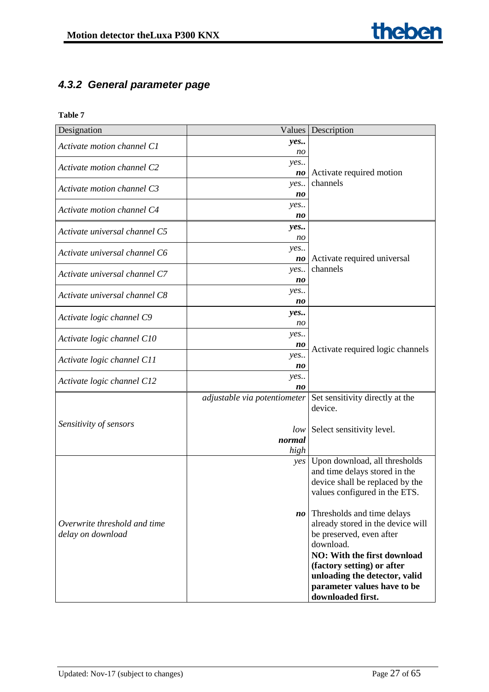# <span id="page-26-0"></span>*4.3.2 General parameter page*

| Designation                   | Values                       | Description                         |
|-------------------------------|------------------------------|-------------------------------------|
| Activate motion channel C1    | yes                          |                                     |
|                               | no                           |                                     |
| Activate motion channel C2    | yes                          |                                     |
|                               | no                           | Activate required motion            |
| Activate motion channel C3    | yes                          | channels                            |
|                               | no                           |                                     |
| Activate motion channel C4    | yes                          |                                     |
|                               | no                           |                                     |
| Activate universal channel C5 | yes                          |                                     |
|                               | no                           |                                     |
| Activate universal channel C6 | yes                          |                                     |
|                               | no                           | Activate required universal         |
| Activate universal channel C7 | yes                          | channels                            |
|                               | no                           |                                     |
| Activate universal channel C8 | yes                          |                                     |
|                               | no                           |                                     |
|                               | yes                          |                                     |
| Activate logic channel C9     | no                           |                                     |
|                               | yes                          |                                     |
| Activate logic channel C10    | no                           |                                     |
|                               | yes                          | Activate required logic channels    |
| Activate logic channel C11    | no                           |                                     |
| Activate logic channel C12    | yes                          |                                     |
|                               | n <sub>0</sub>               |                                     |
|                               | adjustable via potentiometer | Set sensitivity directly at the     |
|                               |                              | device.                             |
| Sensitivity of sensors        |                              |                                     |
|                               | low                          | Select sensitivity level.           |
|                               | normal                       |                                     |
|                               | high                         |                                     |
|                               |                              | yes   Upon download, all thresholds |
|                               |                              | and time delays stored in the       |
|                               |                              | device shall be replaced by the     |
|                               |                              | values configured in the ETS.       |
|                               |                              |                                     |
|                               | no                           | Thresholds and time delays          |
| Overwrite threshold and time  |                              | already stored in the device will   |
| delay on download             |                              | be preserved, even after            |
|                               |                              | download.                           |
|                               |                              | <b>NO: With the first download</b>  |
|                               |                              | (factory setting) or after          |
|                               |                              | unloading the detector, valid       |
|                               |                              | parameter values have to be         |
|                               |                              | downloaded first.                   |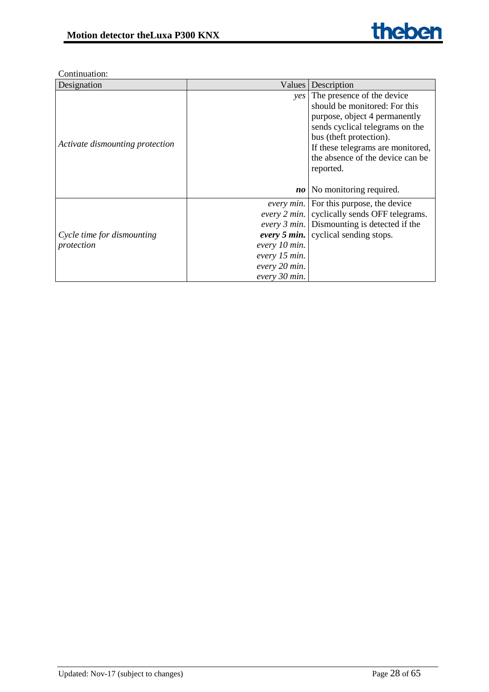| Designation                     | Values        | Description                                        |
|---------------------------------|---------------|----------------------------------------------------|
|                                 |               | <i>ves</i> The presence of the device              |
|                                 |               | should be monitored: For this                      |
|                                 |               | purpose, object 4 permanently                      |
|                                 |               | sends cyclical telegrams on the                    |
|                                 |               | bus (theft protection).                            |
| Activate dismounting protection |               | If these telegrams are monitored,                  |
|                                 |               | the absence of the device can be                   |
|                                 |               | reported.                                          |
|                                 |               |                                                    |
|                                 | $n_{0}$       | No monitoring required.                            |
|                                 |               | every min. For this purpose, the device            |
|                                 |               | every 2 min. cyclically sends OFF telegrams.       |
|                                 |               | <i>every 3 min.</i> Dismounting is detected if the |
| Cycle time for dismounting      |               | every 5 min. cyclical sending stops.               |
| protection                      | every 10 min. |                                                    |
|                                 | every 15 min. |                                                    |
|                                 | every 20 min. |                                                    |
|                                 | every 30 min. |                                                    |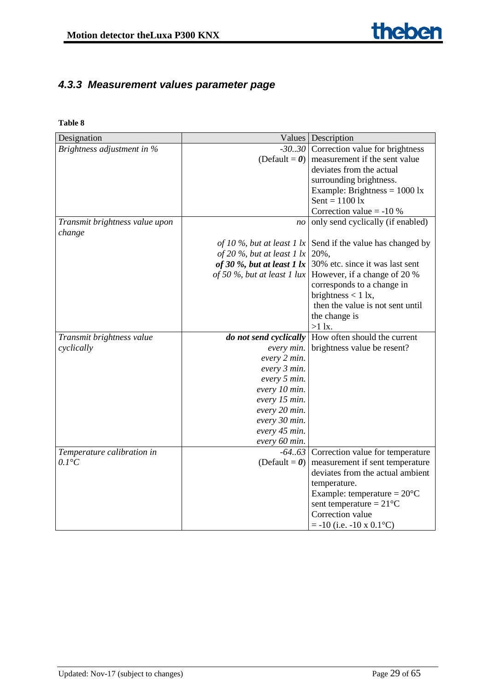# <span id="page-28-0"></span>*4.3.3 Measurement values parameter page*

| Designation                              |                                    | Values   Description                                       |
|------------------------------------------|------------------------------------|------------------------------------------------------------|
| Brightness adjustment in %               |                                    | -3030 Correction value for brightness                      |
|                                          | (Default = $\boldsymbol{\theta}$ ) | measurement if the sent value                              |
|                                          |                                    | deviates from the actual                                   |
|                                          |                                    | surrounding brightness.                                    |
|                                          |                                    | Example: Brightness = $1000 \text{ lx}$                    |
|                                          |                                    | $Sent = 1100$ lx                                           |
|                                          |                                    | Correction value $= -10$ %                                 |
| Transmit brightness value upon<br>change | no                                 | only send cyclically (if enabled)                          |
|                                          | of 10 %, but at least 1 $ x $      | Send if the value has changed by                           |
|                                          | of 20 %, but at least 1 $ x $      | 20%,                                                       |
|                                          | of 30 $%$ , but at least 1 $lx$    | 30% etc. since it was last sent                            |
|                                          |                                    | of 50 %, but at least 1 lux   However, if a change of 20 % |
|                                          |                                    | corresponds to a change in                                 |
|                                          |                                    | brightness $< 1$ lx,                                       |
|                                          |                                    | then the value is not sent until                           |
|                                          |                                    | the change is                                              |
|                                          |                                    | $>1$ lx.                                                   |
| Transmit brightness value                | do not send cyclically             | How often should the current                               |
| cyclically                               | every min.                         | brightness value be resent?                                |
|                                          | every 2 min.                       |                                                            |
|                                          | every 3 min.                       |                                                            |
|                                          | every 5 min.                       |                                                            |
|                                          | every 10 min.                      |                                                            |
|                                          | every 15 min.                      |                                                            |
|                                          | every 20 min.                      |                                                            |
|                                          | every 30 min.                      |                                                            |
|                                          | every 45 min.                      |                                                            |
|                                          | every 60 min.                      |                                                            |
| Temperature calibration in               |                                    | $-64.63$ Correction value for temperature                  |
| $0.1^{\circ}C$                           | (Default = $\boldsymbol{\theta}$ ) | measurement if sent temperature                            |
|                                          |                                    | deviates from the actual ambient                           |
|                                          |                                    | temperature.                                               |
|                                          |                                    | Example: temperature = $20^{\circ}$ C                      |
|                                          |                                    | sent temperature = $21^{\circ}$ C                          |
|                                          |                                    | Correction value                                           |
|                                          |                                    | $= -10$ (i.e. $-10 \times 0.1$ °C)                         |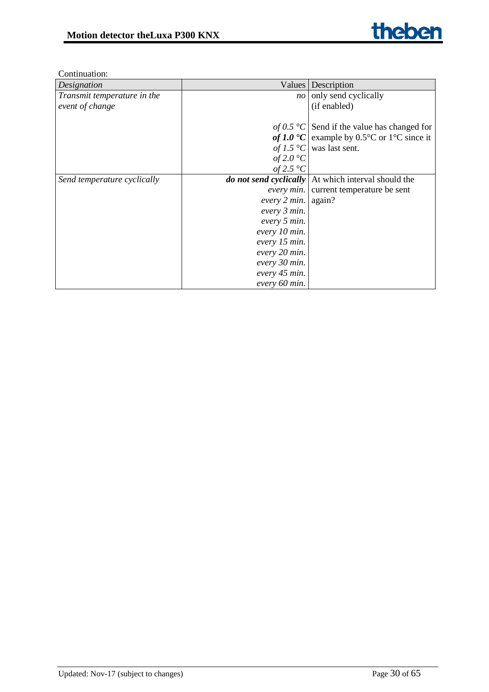| Designation                 |                               | Values Description                                          |
|-----------------------------|-------------------------------|-------------------------------------------------------------|
| Transmit temperature in the | no                            | only send cyclically                                        |
| event of change             |                               | (if enabled)                                                |
|                             |                               |                                                             |
|                             |                               | of 0.5 °C Send if the value has changed for                 |
|                             |                               | of 1.0 $\textdegree$ C   example by 0.5 °C or 1 °C since it |
|                             |                               | of 1.5 °C was last sent.                                    |
|                             | of 2.0 $^{\circ}C$            |                                                             |
|                             | of 2.5 $^{\circ}C$            |                                                             |
| Send temperature cyclically |                               | do not send cyclically   At which interval should the       |
|                             |                               | <i>every min.</i> current temperature be sent               |
|                             | every $2 \text{ min.}$ again? |                                                             |
|                             | every 3 min.                  |                                                             |
|                             | every 5 min.                  |                                                             |
|                             | every 10 min.                 |                                                             |
|                             | every 15 min.                 |                                                             |
|                             | every 20 min.                 |                                                             |
|                             | every 30 min.                 |                                                             |
|                             | every 45 min.                 |                                                             |
|                             | every 60 min.                 |                                                             |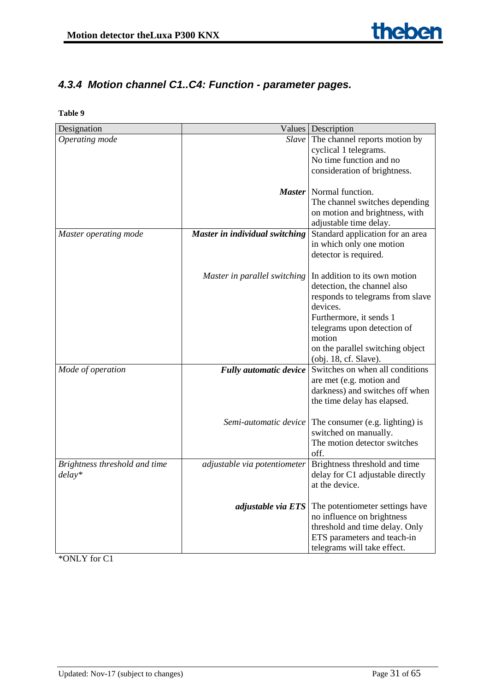# <span id="page-30-0"></span>*4.3.4 Motion channel C1..C4: Function - parameter pages.*

**Table 9**

| Designation                   |                                | Values   Description                                     |
|-------------------------------|--------------------------------|----------------------------------------------------------|
| Operating mode                |                                | Slave The channel reports motion by                      |
|                               |                                | cyclical 1 telegrams.                                    |
|                               |                                | No time function and no                                  |
|                               |                                | consideration of brightness.                             |
|                               |                                |                                                          |
|                               |                                | <i>Master</i> Normal function.                           |
|                               |                                | The channel switches depending                           |
|                               |                                | on motion and brightness, with                           |
|                               |                                | adjustable time delay.                                   |
| Master operating mode         | Master in individual switching | Standard application for an area                         |
|                               |                                | in which only one motion                                 |
|                               |                                | detector is required.                                    |
|                               |                                |                                                          |
|                               | Master in parallel switching   | In addition to its own motion                            |
|                               |                                | detection, the channel also                              |
|                               |                                | responds to telegrams from slave                         |
|                               |                                | devices.                                                 |
|                               |                                | Furthermore, it sends 1                                  |
|                               |                                | telegrams upon detection of                              |
|                               |                                | motion                                                   |
|                               |                                | on the parallel switching object                         |
|                               |                                | (obj. 18, cf. Slave).                                    |
| Mode of operation             | <b>Fully automatic device</b>  | Switches on when all conditions                          |
|                               |                                | are met (e.g. motion and                                 |
|                               |                                | darkness) and switches off when                          |
|                               |                                | the time delay has elapsed.                              |
|                               | Semi-automatic device          |                                                          |
|                               |                                | The consumer (e.g. lighting) is<br>switched on manually. |
|                               |                                | The motion detector switches                             |
|                               |                                | off.                                                     |
| Brightness threshold and time | adjustable via potentiometer   | Brightness threshold and time                            |
| $delay*$                      |                                | delay for C1 adjustable directly                         |
|                               |                                | at the device.                                           |
|                               |                                |                                                          |
|                               | adjustable via ETS             | The potentiometer settings have                          |
|                               |                                | no influence on brightness                               |
|                               |                                | threshold and time delay. Only                           |
|                               |                                | ETS parameters and teach-in                              |
|                               |                                | telegrams will take effect.                              |

\*ONLY for C1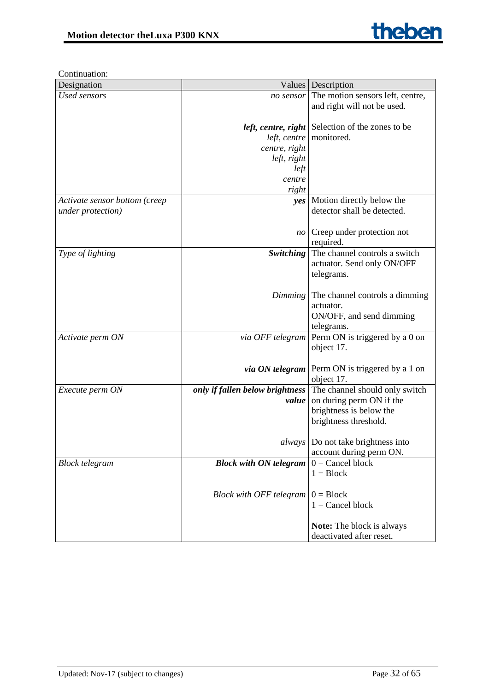

| Designation                   |                                 | Values   Description                                    |
|-------------------------------|---------------------------------|---------------------------------------------------------|
| <b>Used sensors</b>           |                                 | no sensor The motion sensors left, centre,              |
|                               |                                 | and right will not be used.                             |
|                               |                                 |                                                         |
|                               |                                 | left, centre, right Selection of the zones to be        |
|                               | left, centre                    | monitored.                                              |
|                               | centre, right                   |                                                         |
|                               | left, right                     |                                                         |
|                               | left                            |                                                         |
|                               | centre                          |                                                         |
|                               | right                           |                                                         |
| Activate sensor bottom (creep |                                 | yes   Motion directly below the                         |
| under protection)             |                                 | detector shall be detected.                             |
|                               |                                 |                                                         |
|                               | $n_{O}$                         | Creep under protection not                              |
|                               |                                 | required.                                               |
| Type of lighting              |                                 | Switching   The channel controls a switch               |
|                               |                                 | actuator. Send only ON/OFF                              |
|                               |                                 | telegrams.                                              |
|                               |                                 |                                                         |
|                               |                                 | <i>Dimming</i> The channel controls a dimming           |
|                               |                                 | actuator.                                               |
|                               |                                 | ON/OFF, and send dimming                                |
|                               |                                 | telegrams.                                              |
| Activate perm ON              |                                 | via OFF telegram   Perm ON is triggered by a 0 on       |
|                               |                                 | object 17.                                              |
|                               |                                 |                                                         |
|                               |                                 | <i>via ON telegram</i>   Perm ON is triggered by a 1 on |
|                               |                                 | object 17.                                              |
| Execute perm ON               | only if fallen below brightness | The channel should only switch                          |
|                               | value                           | on during perm ON if the                                |
|                               |                                 | brightness is below the                                 |
|                               |                                 | brightness threshold.                                   |
|                               |                                 |                                                         |
|                               |                                 | <i>always</i> Do not take brightness into               |
|                               |                                 | account during perm ON.                                 |
| <b>Block telegram</b>         | <b>Block with ON telegram</b>   | $0 =$ Cancel block                                      |
|                               |                                 | $1 = Block$                                             |
|                               |                                 |                                                         |
|                               | Block with OFF telegram         | $0 = Block$                                             |
|                               |                                 | $1 =$ Cancel block                                      |
|                               |                                 |                                                         |
|                               |                                 | Note: The block is always                               |
|                               |                                 | deactivated after reset.                                |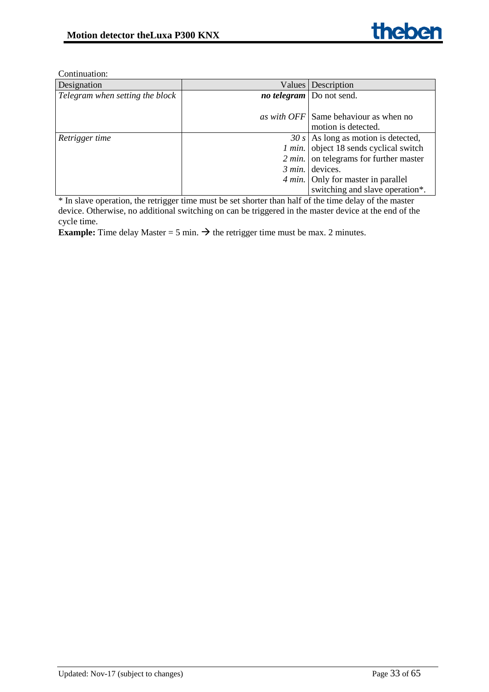| Designation                     | Values Description                               |
|---------------------------------|--------------------------------------------------|
| Telegram when setting the block | <i>no telegram</i>   Do not send.                |
|                                 |                                                  |
|                                 | as with OFF Same behaviour as when no            |
|                                 | motion is detected.                              |
| Retrigger time                  | $30 s$ As long as motion is detected,            |
|                                 | 1 min. object 18 sends cyclical switch           |
|                                 | $2 \text{ min.}$ on telegrams for further master |
|                                 | $3$ min. devices.                                |
|                                 | 4 min. Only for master in parallel               |
|                                 | switching and slave operation*.                  |

\* In slave operation, the retrigger time must be set shorter than half of the time delay of the master device. Otherwise, no additional switching on can be triggered in the master device at the end of the cycle time.

**Example:** Time delay Master = 5 min.  $\rightarrow$  the retrigger time must be max. 2 minutes.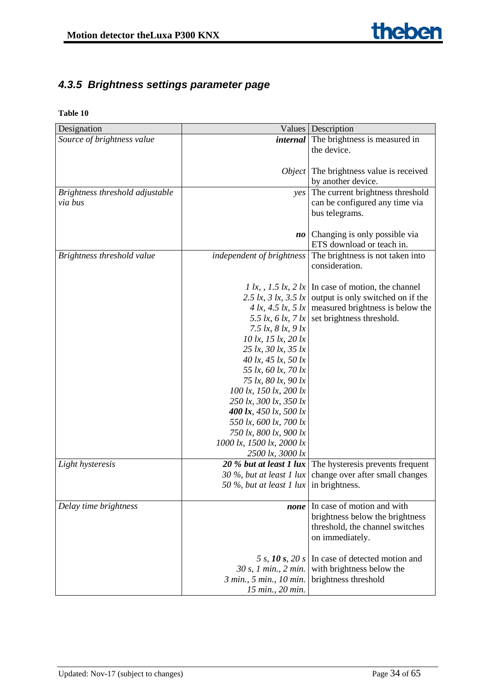# <span id="page-33-0"></span>*4.3.5 Brightness settings parameter page*

| Designation                     |                                                          | Values   Description                                          |
|---------------------------------|----------------------------------------------------------|---------------------------------------------------------------|
| Source of brightness value      |                                                          | <i>internal</i> The brightness is measured in                 |
|                                 |                                                          | the device.                                                   |
|                                 |                                                          |                                                               |
|                                 |                                                          | <i>Object</i> The brightness value is received                |
|                                 |                                                          | by another device.                                            |
| Brightness threshold adjustable |                                                          | yes The current brightness threshold                          |
| via bus                         |                                                          | can be configured any time via                                |
|                                 |                                                          | bus telegrams.                                                |
|                                 |                                                          |                                                               |
|                                 | no                                                       | Changing is only possible via                                 |
| Brightness threshold value      | independent of brightness                                | ETS download or teach in.<br>The brightness is not taken into |
|                                 |                                                          | consideration.                                                |
|                                 |                                                          |                                                               |
|                                 |                                                          | 1 lx, , 1.5 lx, 2 lx In case of motion, the channel           |
|                                 | 2.5 $lx$ , 3 $lx$ , 3.5 $lx$                             | output is only switched on if the                             |
|                                 |                                                          | 4 lx, 4.5 lx, 5 lx   measured brightness is below the         |
|                                 |                                                          | 5.5 lx, 6 lx, 7 lx set brightness threshold.                  |
|                                 | 7.5 $lx$ , 8 $lx$ , 9 $lx$                               |                                                               |
|                                 | 10 lx, 15 lx, 20 lx                                      |                                                               |
|                                 | 25 lx, 30 lx, 35 lx                                      |                                                               |
|                                 | 40 lx, 45 lx, 50 lx                                      |                                                               |
|                                 | 55 lx, 60 lx, 70 lx                                      |                                                               |
|                                 | 75 lx, 80 lx, 90 lx                                      |                                                               |
|                                 | 100 lx, 150 lx, 200 lx                                   |                                                               |
|                                 | 250 lx, 300 lx, 350 lx<br>400 $lx$ , 450 $lx$ , 500 $lx$ |                                                               |
|                                 | 550 lx, 600 lx, 700 lx                                   |                                                               |
|                                 | 750 lx, 800 lx, 900 lx                                   |                                                               |
|                                 | 1000 lx, 1500 lx, 2000 lx                                |                                                               |
|                                 | 2500 lx, 3000 lx                                         |                                                               |
| Light hysteresis                | 20 % but at least 1 lux                                  | The hysteresis prevents frequent                              |
|                                 | 30 %, but at least 1 lux                                 | change over after small changes                               |
|                                 | 50 %, but at least 1 lux                                 | in brightness.                                                |
|                                 |                                                          |                                                               |
| Delay time brightness           |                                                          | <i>none</i> In case of motion and with                        |
|                                 |                                                          | brightness below the brightness                               |
|                                 |                                                          | threshold, the channel switches                               |
|                                 |                                                          | on immediately.                                               |
|                                 |                                                          |                                                               |
|                                 | 5 s, 10 s, 20 s                                          | In case of detected motion and<br>with brightness below the   |
|                                 | 30 s, 1 min., 2 min.<br>3 min., 5 min., 10 min.          | brightness threshold                                          |
|                                 | 15 min., 20 min.                                         |                                                               |
|                                 |                                                          |                                                               |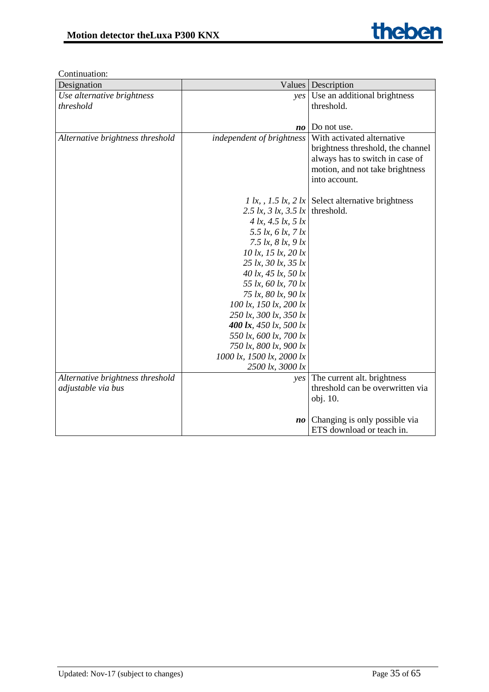| Designation                      | Values                                                    | Description                                        |
|----------------------------------|-----------------------------------------------------------|----------------------------------------------------|
| Use alternative brightness       | $\nu e s$                                                 | Use an additional brightness                       |
| threshold                        |                                                           | threshold.                                         |
|                                  |                                                           |                                                    |
|                                  | no                                                        | Do not use.                                        |
| Alternative brightness threshold | independent of brightness                                 | With activated alternative                         |
|                                  |                                                           | brightness threshold, the channel                  |
|                                  |                                                           | always has to switch in case of                    |
|                                  |                                                           | motion, and not take brightness                    |
|                                  |                                                           | into account.                                      |
|                                  |                                                           |                                                    |
|                                  |                                                           | 1 lx, , 1.5 lx, 2 lx Select alternative brightness |
|                                  | 2.5 lx, 3 lx, 3.5 lx threshold.                           |                                                    |
|                                  | 4 $lx$ , 4.5 $lx$ , 5 $lx$                                |                                                    |
|                                  | 5.5 $lx$ , 6 $lx$ , 7 $lx$                                |                                                    |
|                                  | 7.5 $lx$ , 8 $lx$ , 9 $lx$                                |                                                    |
|                                  | 10 lx, 15 lx, 20 lx                                       |                                                    |
|                                  | 25 lx, 30 lx, 35 lx                                       |                                                    |
|                                  | 40 lx, 45 lx, 50 lx                                       |                                                    |
|                                  | 55 lx, 60 lx, 70 lx                                       |                                                    |
|                                  | 75 lx, 80 lx, 90 lx                                       |                                                    |
|                                  | 100 lx, 150 lx, 200 lx                                    |                                                    |
|                                  | 250 lx, 300 lx, 350 lx                                    |                                                    |
|                                  | 400 $\mathbf{lx}$ , 450 $\mathbf{lx}$ , 500 $\mathbf{lx}$ |                                                    |
|                                  | 550 lx, 600 lx, 700 lx                                    |                                                    |
|                                  | 750 lx, 800 lx, 900 lx                                    |                                                    |
|                                  | 1000 lx, 1500 lx, 2000 lx                                 |                                                    |
|                                  | 2500 lx, 3000 lx                                          |                                                    |
| Alternative brightness threshold | yes                                                       | The current alt. brightness                        |
| adjustable via bus               |                                                           | threshold can be overwritten via                   |
|                                  |                                                           | obj. 10.                                           |
|                                  |                                                           |                                                    |
|                                  | $n_{0}$                                                   | Changing is only possible via                      |
|                                  |                                                           | ETS download or teach in.                          |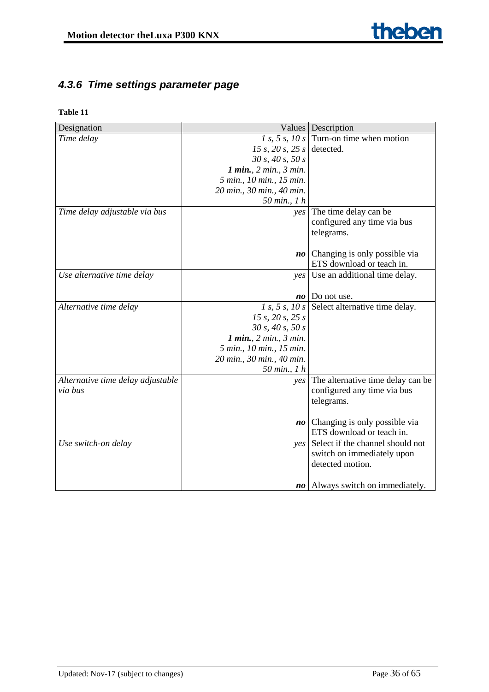# <span id="page-35-0"></span>*4.3.6 Time settings parameter page*

| Designation                       | Values                     | Description                                   |
|-----------------------------------|----------------------------|-----------------------------------------------|
| Time delay                        | 1 s, 5 s, 10 s             | Turn-on time when motion                      |
|                                   | 15 s, 20 s, 25 s detected. |                                               |
|                                   | 30 s, 40 s, 50 s           |                                               |
|                                   | 1 min., 2 min., 3 min.     |                                               |
|                                   | 5 min., 10 min., 15 min.   |                                               |
|                                   | 20 min., 30 min., 40 min.  |                                               |
|                                   | 50 min., 1 h               |                                               |
| Time delay adjustable via bus     | yes                        | The time delay can be                         |
|                                   |                            | configured any time via bus                   |
|                                   |                            | telegrams.                                    |
|                                   |                            |                                               |
|                                   | $\boldsymbol{no}$          | Changing is only possible via                 |
|                                   |                            | ETS download or teach in.                     |
| Use alternative time delay        | $\vee$ es                  | Use an additional time delay.                 |
|                                   |                            |                                               |
|                                   | no                         | Do not use.                                   |
| Alternative time delay            |                            | 1 s, 5 s, 10 s Select alternative time delay. |
|                                   | 15 s, 20 s, 25 s           |                                               |
|                                   | 30 s, 40 s, 50 s           |                                               |
|                                   | 1 min., 2 min., 3 min.     |                                               |
|                                   | 5 min., 10 min., 15 min.   |                                               |
|                                   | 20 min., 30 min., 40 min.  |                                               |
|                                   | 50 min., 1 h               |                                               |
| Alternative time delay adjustable | yes                        | The alternative time delay can be             |
| via bus                           |                            | configured any time via bus                   |
|                                   |                            | telegrams.                                    |
|                                   |                            |                                               |
|                                   | $n_{0}$                    | Changing is only possible via                 |
|                                   |                            | ETS download or teach in.                     |
| Use switch-on delay               | yes                        | Select if the channel should not              |
|                                   |                            | switch on immediately upon                    |
|                                   |                            | detected motion.                              |
|                                   |                            |                                               |
|                                   | no                         | Always switch on immediately.                 |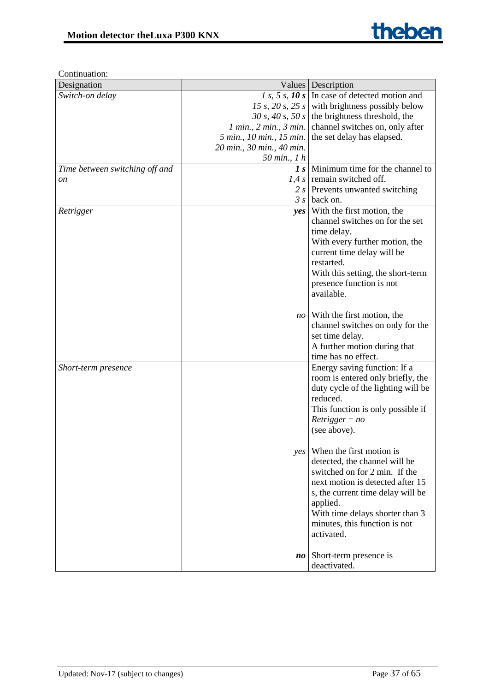| Designation                    |                                | Values   Description                               |
|--------------------------------|--------------------------------|----------------------------------------------------|
| Switch-on delay                |                                | 1 s, 5 s, 10 s   In case of detected motion and    |
|                                |                                | 15 s, 20 s, 25 s with brightness possibly below    |
|                                |                                | 30 s, 40 s, 50 s the brightness threshold, the     |
|                                | 1 min., 2 min., 3 min.         | channel switches on, only after                    |
|                                | 5 min., 10 min., 15 min.       | the set delay has elapsed.                         |
|                                | 20 min., 30 min., 40 min.      |                                                    |
|                                | 50 min., 1 h                   |                                                    |
| Time between switching off and |                                | $\boldsymbol{I}$ s Minimum time for the channel to |
| on                             | 1.4 s                          | remain switched off.                               |
|                                |                                | $2 s$ Prevents unwanted switching                  |
|                                |                                | $3 s$ back on.                                     |
| Retrigger                      |                                | yes   With the first motion, the                   |
|                                |                                | channel switches on for the set                    |
|                                |                                | time delay.                                        |
|                                |                                | With every further motion, the                     |
|                                |                                | current time delay will be                         |
|                                |                                | restarted.                                         |
|                                |                                | With this setting, the short-term                  |
|                                |                                | presence function is not                           |
|                                |                                | available.                                         |
|                                |                                |                                                    |
|                                |                                | <i>no</i>   With the first motion, the             |
|                                |                                | channel switches on only for the                   |
|                                |                                | set time delay.                                    |
|                                |                                | A further motion during that                       |
|                                |                                | time has no effect.                                |
| Short-term presence            |                                | Energy saving function: If a                       |
|                                |                                | room is entered only briefly, the                  |
|                                |                                | duty cycle of the lighting will be                 |
|                                |                                | reduced.                                           |
|                                |                                | This function is only possible if                  |
|                                |                                | $Retrigger = no$                                   |
|                                |                                | (see above).                                       |
|                                |                                |                                                    |
|                                |                                | yes When the first motion is                       |
|                                |                                | detected, the channel will be                      |
|                                |                                | switched on for 2 min. If the                      |
|                                |                                | next motion is detected after 15                   |
|                                |                                | s, the current time delay will be                  |
|                                |                                | applied.                                           |
|                                |                                | With time delays shorter than 3                    |
|                                |                                | minutes, this function is not                      |
|                                |                                | activated.                                         |
|                                |                                |                                                    |
|                                | $\boldsymbol{n}\boldsymbol{o}$ | Short-term presence is                             |
|                                |                                | deactivated.                                       |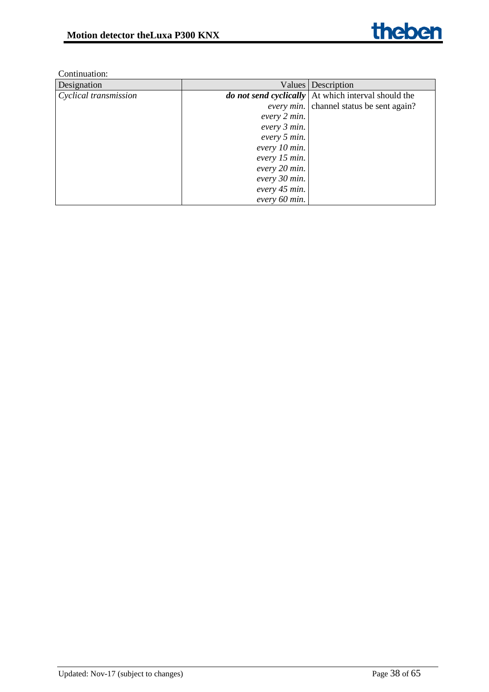| Designation           |               | Values Description                                    |
|-----------------------|---------------|-------------------------------------------------------|
| Cyclical transmission |               | do not send cyclically   At which interval should the |
|                       |               | <i>every min.</i> channel status be sent again?       |
|                       | every 2 min.  |                                                       |
|                       | every 3 min.  |                                                       |
|                       | every 5 min.  |                                                       |
|                       | every 10 min. |                                                       |
|                       | every 15 min. |                                                       |
|                       | every 20 min. |                                                       |
|                       | every 30 min. |                                                       |
|                       | every 45 min. |                                                       |
|                       | every 60 min. |                                                       |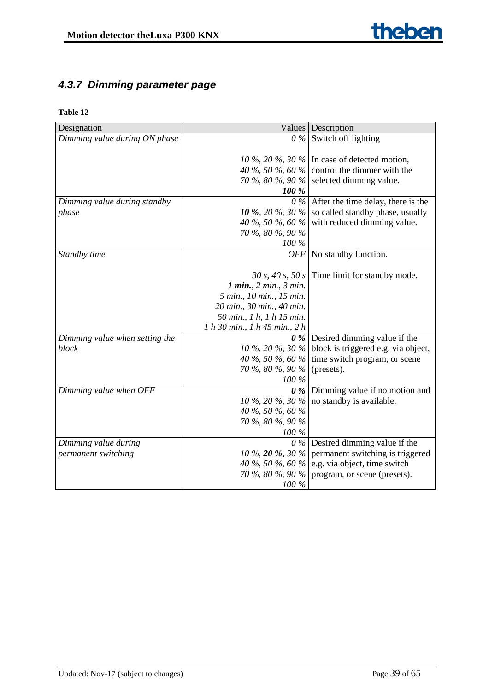# <span id="page-38-0"></span>*4.3.7 Dimming parameter page*

| Designation                    |                               | Values   Description                                 |
|--------------------------------|-------------------------------|------------------------------------------------------|
| Dimming value during ON phase  |                               | $0\%$ Switch off lighting                            |
|                                |                               |                                                      |
|                                |                               | 10 %, 20 %, 30 % In case of detected motion,         |
|                                |                               | 40 %, 50 %, 60 % control the dimmer with the         |
|                                |                               | 70 %, 80 %, 90 % selected dimming value.             |
|                                | 100 %                         |                                                      |
| Dimming value during standby   |                               | $0\%$ After the time delay, there is the             |
| phase                          | 10 %, 20 %, 30 %              | so called standby phase, usually                     |
|                                |                               | 40 %, 50 %, 60 % with reduced dimming value.         |
|                                | 70 %, 80 %, 90 %              |                                                      |
|                                | 100 %                         |                                                      |
| Standby time                   |                               | $OFF$ No standby function.                           |
|                                |                               |                                                      |
|                                |                               | 30 s, 40 s, 50 s Time limit for standby mode.        |
|                                | 1 min., 2 min., 3 min.        |                                                      |
|                                | 5 min., 10 min., 15 min.      |                                                      |
|                                | 20 min., 30 min., 40 min.     |                                                      |
|                                | 50 min., 1 h, 1 h 15 min.     |                                                      |
|                                | 1 h 30 min., 1 h 45 min., 2 h |                                                      |
| Dimming value when setting the |                               | $\theta$ % Desired dimming value if the              |
| block                          |                               | 10 %, 20 %, 30 % block is triggered e.g. via object, |
|                                |                               | 40 %, 50 %, 60 % time switch program, or scene       |
|                                | 70 %, 80 %, 90 % (presets).   |                                                      |
|                                | $100\,\%$                     |                                                      |
| Dimming value when OFF         |                               | $\theta$ % Dimming value if no motion and            |
|                                |                               | 10 %, 20 %, 30 % no standby is available.            |
|                                | 40 %, 50 %, 60 %              |                                                      |
|                                | 70 %, 80 %, 90 %              |                                                      |
|                                | 100 %                         |                                                      |
| Dimming value during           |                               | $\theta$ % Desired dimming value if the              |
| permanent switching            | 10 %, 20 %, 30 %              | permanent switching is triggered                     |
|                                |                               | 40 %, 50 %, 60 % e.g. via object, time switch        |
|                                |                               | 70 %, 80 %, 90 % program, or scene (presets).        |
|                                | $100\,\%$                     |                                                      |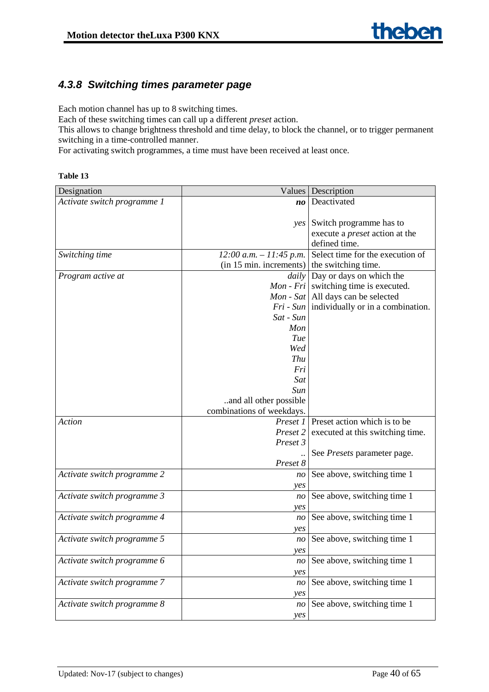# <span id="page-39-0"></span>*4.3.8 Switching times parameter page*

Each motion channel has up to 8 switching times.

Each of these switching times can call up a different *preset* action.

This allows to change brightness threshold and time delay, to block the channel, or to trigger permanent switching in a time-controlled manner.

For activating switch programmes, a time must have been received at least once.

| anı<br>r |  |
|----------|--|
|----------|--|

| Designation                 | <b>Values</b>                  | Description                                        |
|-----------------------------|--------------------------------|----------------------------------------------------|
| Activate switch programme 1 | $\boldsymbol{n}\boldsymbol{o}$ | Deactivated                                        |
|                             |                                |                                                    |
|                             | $\gamma$ es                    | Switch programme has to                            |
|                             |                                | execute a <i>preset</i> action at the              |
|                             |                                | defined time.                                      |
| Switching time              | $12:00$ a.m. $-11:45$ p.m.     | Select time for the execution of                   |
|                             | (in 15 min. increments)        | the switching time.                                |
| Program active at           |                                | <i>daily</i> Day or days on which the              |
|                             |                                | $Mon$ - $Fri$ switching time is executed.          |
|                             |                                | <i>Mon</i> - <i>Sat</i>   All days can be selected |
|                             | $Fri$ - Sun                    | individually or in a combination.                  |
|                             | Sat - Sun                      |                                                    |
|                             | Mon                            |                                                    |
|                             | Tue                            |                                                    |
|                             | Wed                            |                                                    |
|                             | Thu                            |                                                    |
|                             | Fri                            |                                                    |
|                             | Sat                            |                                                    |
|                             | Sun                            |                                                    |
|                             | and all other possible         |                                                    |
|                             | combinations of weekdays.      |                                                    |
| Action                      | Preset 1                       | Preset action which is to be                       |
|                             | Preset 2                       | executed at this switching time.                   |
|                             | Preset 3                       |                                                    |
|                             |                                | See Presets parameter page.                        |
|                             | Preset 8                       |                                                    |
| Activate switch programme 2 | n <sub>O</sub>                 | See above, switching time 1                        |
|                             | yes                            |                                                    |
| Activate switch programme 3 | n <sub>O</sub>                 | See above, switching time 1                        |
|                             | yes                            |                                                    |
| Activate switch programme 4 | n <sub>O</sub>                 | See above, switching time 1                        |
|                             | yes                            |                                                    |
| Activate switch programme 5 | n <sub>O</sub>                 | See above, switching time 1                        |
|                             | <i>ves</i>                     |                                                    |
| Activate switch programme 6 | n <sub>O</sub>                 | See above, switching time 1                        |
|                             | yes                            |                                                    |
| Activate switch programme 7 | n <sub>O</sub>                 | See above, switching time 1                        |
|                             | yes                            |                                                    |
| Activate switch programme 8 | n <sub>O</sub>                 | See above, switching time 1                        |
|                             | yes                            |                                                    |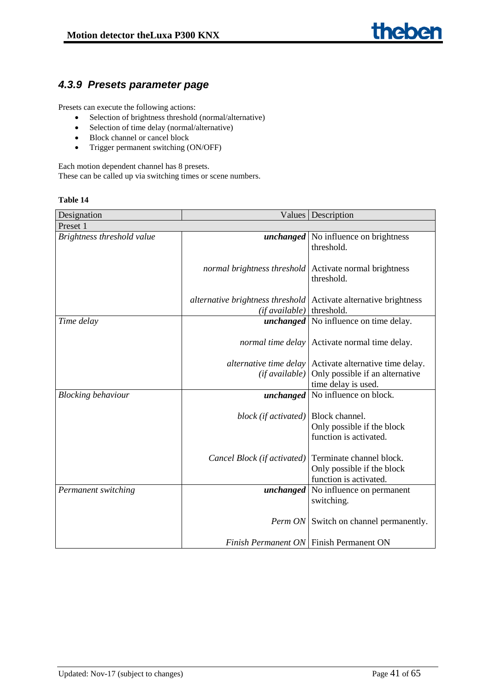# <span id="page-40-0"></span>*4.3.9 Presets parameter page*

Presets can execute the following actions:

- Selection of brightness threshold (normal/alternative)
- Selection of time delay (normal/alternative)
- Block channel or cancel block
- Trigger permanent switching (ON/OFF)

Each motion dependent channel has 8 presets. These can be called up via switching times or scene numbers.

| Designation                |                                                                           | Values   Description                                           |
|----------------------------|---------------------------------------------------------------------------|----------------------------------------------------------------|
| Preset 1                   |                                                                           |                                                                |
| Brightness threshold value |                                                                           | <i>unchanged</i> No influence on brightness                    |
|                            |                                                                           | threshold.                                                     |
|                            |                                                                           |                                                                |
|                            | normal brightness threshold                                               | Activate normal brightness                                     |
|                            |                                                                           | threshold.                                                     |
|                            |                                                                           |                                                                |
|                            | <i>alternative brightness threshold</i>   Activate alternative brightness |                                                                |
|                            | (if available)                                                            | threshold.                                                     |
| Time delay                 |                                                                           | <i>unchanged</i> No influence on time delay.                   |
|                            |                                                                           |                                                                |
|                            |                                                                           | <i>normal time delay</i> Activate normal time delay.           |
|                            |                                                                           |                                                                |
|                            |                                                                           | <i>alternative time delay</i> Activate alternative time delay. |
|                            | (if available)                                                            | Only possible if an alternative                                |
|                            |                                                                           | time delay is used.                                            |
| <b>Blocking behaviour</b>  |                                                                           | <i>unchanged</i>   No influence on block.                      |
|                            |                                                                           |                                                                |
|                            | block (if activated)                                                      | Block channel.                                                 |
|                            |                                                                           | Only possible if the block                                     |
|                            |                                                                           | function is activated.                                         |
|                            |                                                                           |                                                                |
|                            | Cancel Block (if activated)                                               | Terminate channel block.                                       |
|                            |                                                                           | Only possible if the block                                     |
|                            |                                                                           | function is activated.                                         |
| Permanent switching        |                                                                           | <i>unchanged</i>   No influence on permanent                   |
|                            |                                                                           | switching.                                                     |
|                            |                                                                           |                                                                |
|                            |                                                                           | <i>Perm ON</i> Switch on channel permanently.                  |
|                            |                                                                           |                                                                |
|                            | Finish Permanent ON   Finish Permanent ON                                 |                                                                |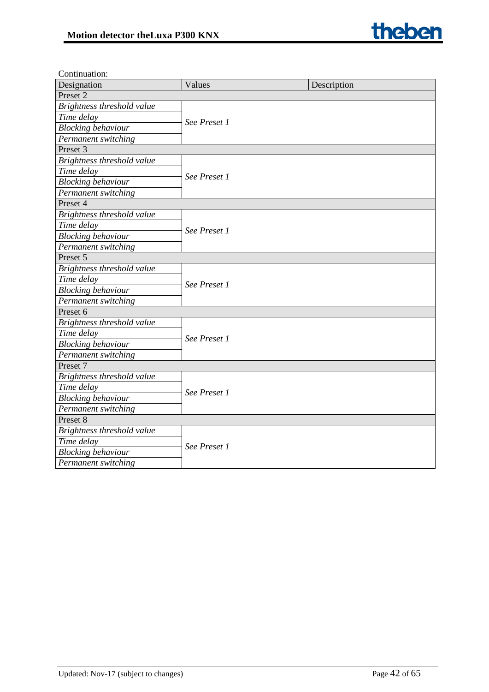

| Continuation:              |              |             |
|----------------------------|--------------|-------------|
| Designation                | Values       | Description |
| Preset <sub>2</sub>        |              |             |
| Brightness threshold value |              |             |
| Time delay                 | See Preset 1 |             |
| <b>Blocking</b> behaviour  |              |             |
| Permanent switching        |              |             |
| Preset 3                   |              |             |
| Brightness threshold value |              |             |
| Time delay                 |              |             |
| <b>Blocking behaviour</b>  | See Preset 1 |             |
| Permanent switching        |              |             |
| Preset 4                   |              |             |
| Brightness threshold value |              |             |
| Time delay                 | See Preset 1 |             |
| <b>Blocking behaviour</b>  |              |             |
| Permanent switching        |              |             |
| Preset 5                   |              |             |
| Brightness threshold value | See Preset 1 |             |
| Time delay                 |              |             |
| <b>Blocking behaviour</b>  |              |             |
| Permanent switching        |              |             |
| Preset 6                   |              |             |
| Brightness threshold value |              |             |
| Time delay                 |              |             |
| <b>Blocking behaviour</b>  | See Preset 1 |             |
| Permanent switching        |              |             |
| Preset 7                   |              |             |
| Brightness threshold value |              |             |
| Time delay                 | See Preset 1 |             |
| <b>Blocking behaviour</b>  |              |             |
| Permanent switching        |              |             |
| Preset 8                   |              |             |
| Brightness threshold value |              |             |
| Time delay                 | See Preset 1 |             |
| <b>Blocking behaviour</b>  |              |             |
| Permanent switching        |              |             |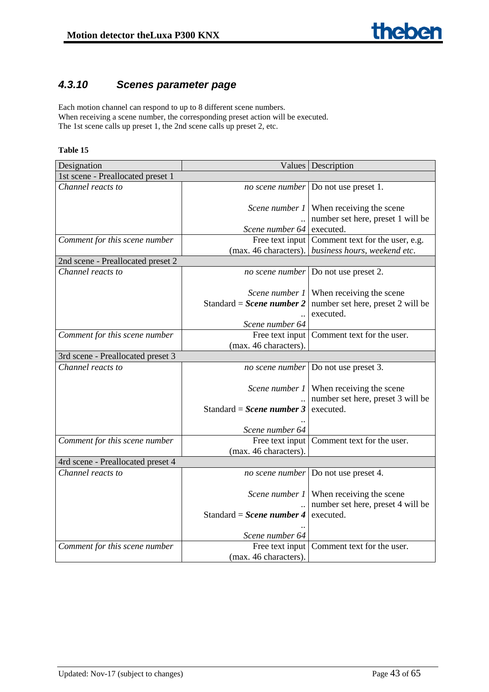# <span id="page-42-0"></span>*4.3.10 Scenes parameter page*

Each motion channel can respond to up to 8 different scene numbers. When receiving a scene number, the corresponding preset action will be executed. The 1st scene calls up preset 1, the 2nd scene calls up preset 2, etc.

| Designation                       |                           | Values   Description                               |
|-----------------------------------|---------------------------|----------------------------------------------------|
| 1st scene - Preallocated preset 1 |                           |                                                    |
| $\overline{Channel}$ reacts to    |                           | no scene number Do not use preset 1.               |
|                                   |                           |                                                    |
|                                   |                           | Scene number 1   When receiving the scene          |
|                                   |                           | number set here, preset 1 will be                  |
|                                   | Scene number 64 executed. |                                                    |
| Comment for this scene number     |                           | Free text input Comment text for the user, e.g.    |
|                                   |                           | (max. 46 characters). business hours, weekend etc. |
| 2nd scene - Preallocated preset 2 |                           |                                                    |
| Channel reacts to                 |                           | <i>no scene number</i> Do not use preset 2.        |
|                                   |                           |                                                    |
|                                   |                           | <i>Scene number 1</i> When receiving the scene     |
|                                   | Standard = Scene number 2 | number set here, preset 2 will be                  |
|                                   |                           | executed.                                          |
|                                   | Scene number 64           |                                                    |
| Comment for this scene number     | Free text input           | Comment text for the user.                         |
|                                   | (max. 46 characters).     |                                                    |
| 3rd scene - Preallocated preset 3 |                           |                                                    |
| $\overline{Channel}$ reacts to    |                           | <i>no scene number</i> Do not use preset 3.        |
|                                   |                           |                                                    |
|                                   |                           | <i>Scene number 1</i> When receiving the scene     |
|                                   | Standard = Scene number 3 | number set here, preset 3 will be<br>executed.     |
|                                   |                           |                                                    |
|                                   | Scene number 64           |                                                    |
| Comment for this scene number     |                           | Free text input Comment text for the user.         |
|                                   | (max. 46 characters).     |                                                    |
| 4rd scene - Preallocated preset 4 |                           |                                                    |
| $\overline{Channel}$ reacts to    |                           | <i>no scene number</i> Do not use preset 4.        |
|                                   |                           |                                                    |
|                                   |                           | Scene number 1 When receiving the scene            |
|                                   |                           | number set here, preset 4 will be                  |
|                                   | Standard = Scene number 4 | executed.                                          |
|                                   |                           |                                                    |
|                                   | Scene number 64           |                                                    |
| Comment for this scene number     |                           | Free text input Comment text for the user.         |
|                                   | (max. 46 characters).     |                                                    |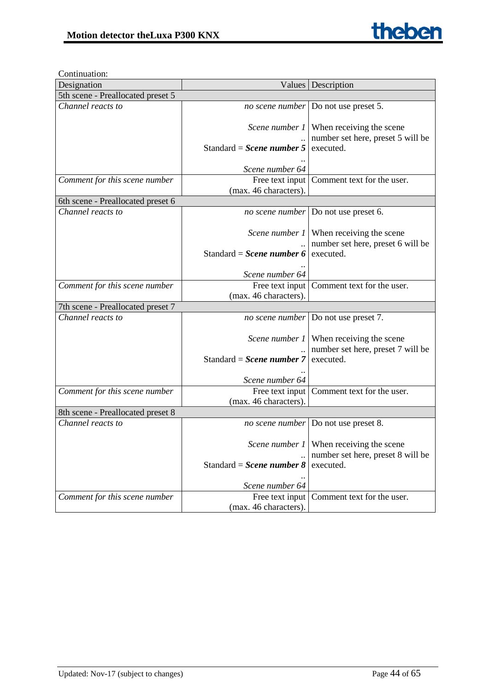

| Designation                       |                                       | Values   Description                                                                |
|-----------------------------------|---------------------------------------|-------------------------------------------------------------------------------------|
| 5th scene - Preallocated preset 5 |                                       |                                                                                     |
| Channel reacts to                 |                                       | <i>no scene number</i> Do not use preset 5.                                         |
|                                   |                                       | Scene number $1$ When receiving the scene                                           |
|                                   | Standard = Scene number 5             | number set here, preset 5 will be<br>executed.                                      |
|                                   | Scene number 64                       |                                                                                     |
| Comment for this scene number     | (max. 46 characters).                 | Free text input Comment text for the user.                                          |
| 6th scene - Preallocated preset 6 |                                       |                                                                                     |
| Channel reacts to                 |                                       | <i>no scene number</i> Do not use preset 6.                                         |
|                                   |                                       | Scene number 1   When receiving the scene<br>number set here, preset 6 will be      |
|                                   | Standard = Scene number 6 executed.   |                                                                                     |
|                                   | Scene number 64                       |                                                                                     |
| Comment for this scene number     | (max. 46 characters).                 | Free text input Comment text for the user.                                          |
| 7th scene - Preallocated preset 7 |                                       |                                                                                     |
| Channel reacts to                 |                                       | <i>no scene number</i> Do not use preset 7.                                         |
|                                   |                                       | Scene number 1   When receiving the scene                                           |
|                                   | Standard = Scene number $7$           | number set here, preset 7 will be<br>executed.                                      |
|                                   | Scene number 64                       |                                                                                     |
| Comment for this scene number     |                                       | Free text input Comment text for the user.                                          |
|                                   | (max. 46 characters).                 |                                                                                     |
| 8th scene - Preallocated preset 8 |                                       |                                                                                     |
| Channel reacts to                 |                                       | <i>no scene number</i> Do not use preset 8.                                         |
|                                   |                                       | <i>Scene number 1</i> When receiving the scene<br>number set here, preset 8 will be |
|                                   | Standard = Scene number $8$ executed. |                                                                                     |
|                                   | Scene number 64                       |                                                                                     |
| Comment for this scene number     | (max. 46 characters).                 | Free text input   Comment text for the user.                                        |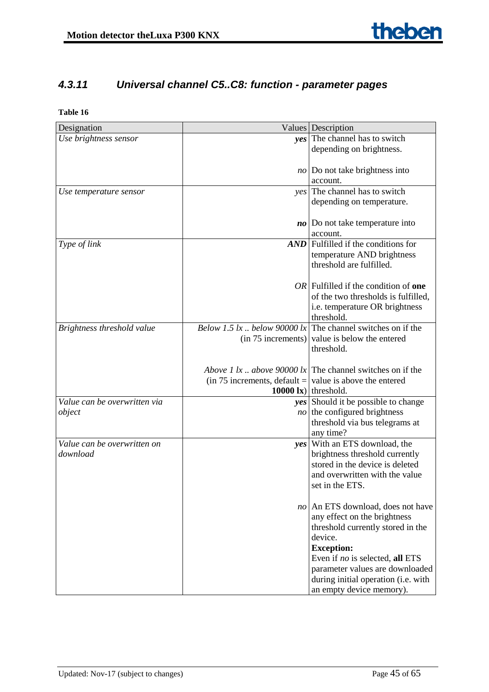# <span id="page-44-0"></span>*4.3.11 Universal channel C5..C8: function - parameter pages*

| Designation                             |                                                                 | Values Description                                                |
|-----------------------------------------|-----------------------------------------------------------------|-------------------------------------------------------------------|
| Use brightness sensor                   |                                                                 | yes The channel has to switch                                     |
|                                         |                                                                 | depending on brightness.                                          |
|                                         |                                                                 |                                                                   |
|                                         |                                                                 | $no$ Do not take brightness into                                  |
|                                         |                                                                 | account.                                                          |
| Use temperature sensor                  |                                                                 | yes The channel has to switch                                     |
|                                         |                                                                 | depending on temperature.                                         |
|                                         |                                                                 |                                                                   |
|                                         |                                                                 | $\boldsymbol{no}$ Do not take temperature into                    |
|                                         |                                                                 | account.<br>$AND$ Fulfilled if the conditions for                 |
| Type of link                            |                                                                 |                                                                   |
|                                         |                                                                 | temperature AND brightness<br>threshold are fulfilled.            |
|                                         |                                                                 |                                                                   |
|                                         |                                                                 | $OR$ Fulfilled if the condition of one                            |
|                                         |                                                                 | of the two thresholds is fulfilled,                               |
|                                         |                                                                 | i.e. temperature OR brightness                                    |
|                                         |                                                                 | threshold.                                                        |
| Brightness threshold value              |                                                                 | Below 1.5 lx below 90000 lx The channel switches on if the        |
|                                         |                                                                 | $(in 75$ increments) value is below the entered                   |
|                                         |                                                                 | threshold.                                                        |
|                                         |                                                                 |                                                                   |
|                                         |                                                                 | <i>Above 1 lx above 90000 lx</i> The channel switches on if the   |
|                                         | (in 75 increments, default = $\vert$ value is above the entered |                                                                   |
|                                         |                                                                 | 10000 $\bf{k}$ ) threshold.                                       |
| Value can be overwritten via            |                                                                 | yes Should it be possible to change                               |
| object                                  |                                                                 | $no$ the configured brightness                                    |
|                                         |                                                                 | threshold via bus telegrams at                                    |
|                                         |                                                                 | any time?                                                         |
| Value can be overwritten on<br>download |                                                                 | yes With an ETS download, the                                     |
|                                         |                                                                 | brightness threshold currently<br>stored in the device is deleted |
|                                         |                                                                 | and overwritten with the value                                    |
|                                         |                                                                 | set in the ETS.                                                   |
|                                         |                                                                 |                                                                   |
|                                         |                                                                 | no An ETS download, does not have                                 |
|                                         |                                                                 | any effect on the brightness                                      |
|                                         |                                                                 | threshold currently stored in the                                 |
|                                         |                                                                 | device.                                                           |
|                                         |                                                                 | <b>Exception:</b>                                                 |
|                                         |                                                                 | Even if no is selected, all ETS                                   |
|                                         |                                                                 | parameter values are downloaded                                   |
|                                         |                                                                 | during initial operation (i.e. with                               |
|                                         |                                                                 | an empty device memory).                                          |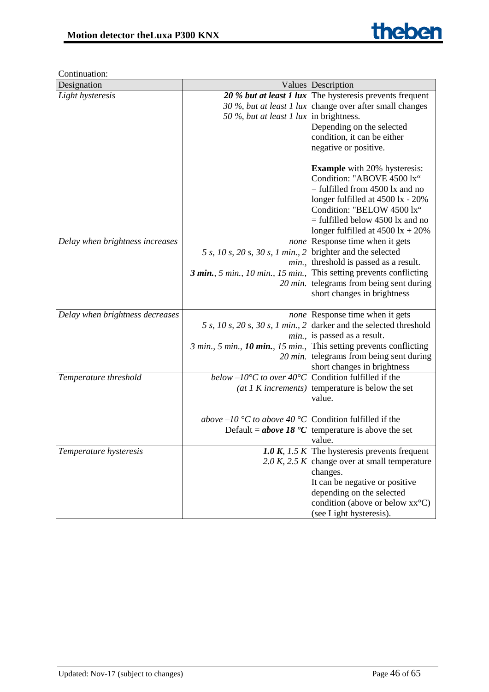| Designation                     |                                                                         | Values Description                                                  |
|---------------------------------|-------------------------------------------------------------------------|---------------------------------------------------------------------|
| Light hysteresis                |                                                                         | 20 % but at least 1 lux The hysteresis prevents frequent            |
|                                 |                                                                         | 30 %, but at least 1 lux change over after small changes            |
|                                 | 50 %, but at least 1 lux in brightness.                                 |                                                                     |
|                                 |                                                                         | Depending on the selected                                           |
|                                 |                                                                         | condition, it can be either                                         |
|                                 |                                                                         | negative or positive.                                               |
|                                 |                                                                         |                                                                     |
|                                 |                                                                         | <b>Example</b> with 20% hysteresis:                                 |
|                                 |                                                                         | Condition: "ABOVE 4500 lx"                                          |
|                                 |                                                                         | $=$ fulfilled from 4500 lx and no                                   |
|                                 |                                                                         | longer fulfilled at 4500 lx - 20%                                   |
|                                 |                                                                         | Condition: "BELOW 4500 lx"                                          |
|                                 |                                                                         | $=$ fulfilled below 4500 lx and no                                  |
|                                 |                                                                         | longer fulfilled at $4500 \text{ lx} + 20\%$                        |
| Delay when brightness increases |                                                                         | <i>none</i> Response time when it gets                              |
|                                 | 5 s, 10 s, 20 s, 30 s, 1 min., 2 brighter and the selected              |                                                                     |
|                                 | min.                                                                    | threshold is passed as a result.                                    |
|                                 |                                                                         | 3 min., 5 min., 10 min., 15 min., This setting prevents conflicting |
|                                 |                                                                         | 20 min. telegrams from being sent during                            |
|                                 |                                                                         | short changes in brightness                                         |
| Delay when brightness decreases |                                                                         | <i>none</i> Response time when it gets                              |
|                                 | 5 s, 10 s, 20 s, 30 s, 1 min., 2                                        | darker and the selected threshold                                   |
|                                 |                                                                         | $min.$ , is passed as a result.                                     |
|                                 |                                                                         | 3 min., 5 min., 10 min., 15 min., This setting prevents conflicting |
|                                 |                                                                         | 20 min. telegrams from being sent during                            |
|                                 |                                                                         | short changes in brightness                                         |
| Temperature threshold           | below $-10^{\circ}$ C to over $40^{\circ}$ C Condition fulfilled if the |                                                                     |
|                                 |                                                                         | (at 1 K increments) temperature is below the set                    |
|                                 |                                                                         | value.                                                              |
|                                 |                                                                         |                                                                     |
|                                 | <i>above</i> $-10$ °C <i>to above</i> 40 °C Condition fulfilled if the  |                                                                     |
|                                 |                                                                         | Default = <b>above 18 °C</b> temperature is above the set           |
|                                 |                                                                         | value.                                                              |
| Temperature hysteresis          |                                                                         | 1.0 K, 1.5 K The hysteresis prevents frequent                       |
|                                 |                                                                         | 2.0 K, 2.5 K change over at small temperature                       |
|                                 |                                                                         | changes.                                                            |
|                                 |                                                                         | It can be negative or positive                                      |
|                                 |                                                                         | depending on the selected                                           |
|                                 |                                                                         | condition (above or below xx <sup>o</sup> C)                        |
|                                 |                                                                         | (see Light hysteresis).                                             |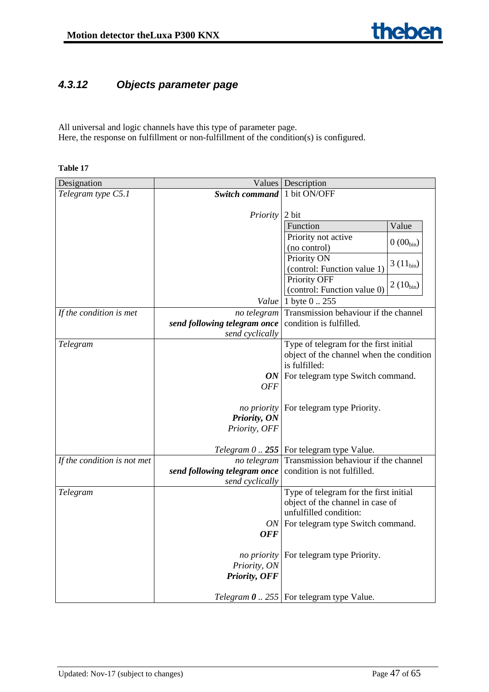# <span id="page-46-0"></span>*4.3.12 Objects parameter page*

All universal and logic channels have this type of parameter page. Here, the response on fulfillment or non-fulfillment of the condition(s) is configured.

| Designation                 |                              | Values Description                                      |
|-----------------------------|------------------------------|---------------------------------------------------------|
| Telegram type C5.1          | <b>Switch command</b>        | 1 bit ON/OFF                                            |
|                             |                              |                                                         |
|                             | Priority                     | 2 bit                                                   |
|                             |                              | Value<br>Function                                       |
|                             |                              | Priority not active<br>$0(00_{\text{bin}})$             |
|                             |                              | (no control)                                            |
|                             |                              | Priority ON<br>$3(11_{bin})$                            |
|                             |                              | (control: Function value 1)                             |
|                             |                              | Priority OFF<br>$2(10_{bin})$                           |
|                             |                              | (control: Function value 0)                             |
|                             | Value                        | 1 byte 0  255                                           |
| If the condition is met     | no telegram                  | Transmission behaviour if the channel                   |
|                             | send following telegram once | condition is fulfilled.                                 |
|                             | send cyclically              |                                                         |
| Telegram                    |                              | Type of telegram for the first initial                  |
|                             |                              | object of the channel when the condition                |
|                             |                              | is fulfilled:                                           |
|                             |                              | $ON$ For telegram type Switch command.                  |
|                             | <b>OFF</b>                   |                                                         |
|                             |                              |                                                         |
|                             | no priority                  | For telegram type Priority.                             |
|                             | Priority, ON                 |                                                         |
|                             | Priority, OFF                |                                                         |
|                             |                              | Telegram $0$ 255   For telegram type Value.             |
| If the condition is not met | no telegram                  | Transmission behaviour if the channel                   |
|                             | send following telegram once | condition is not fulfilled.                             |
|                             | send cyclically              |                                                         |
| Telegram                    |                              | Type of telegram for the first initial                  |
|                             |                              | object of the channel in case of                        |
|                             |                              | unfulfilled condition:                                  |
|                             |                              | ON   For telegram type Switch command.                  |
|                             | <b>OFF</b>                   |                                                         |
|                             |                              |                                                         |
|                             | no priority                  | For telegram type Priority.                             |
|                             | Priority, ON                 |                                                         |
|                             | Priority, OFF                |                                                         |
|                             |                              |                                                         |
|                             |                              | <i>Telegram</i> $\theta$ 255   For telegram type Value. |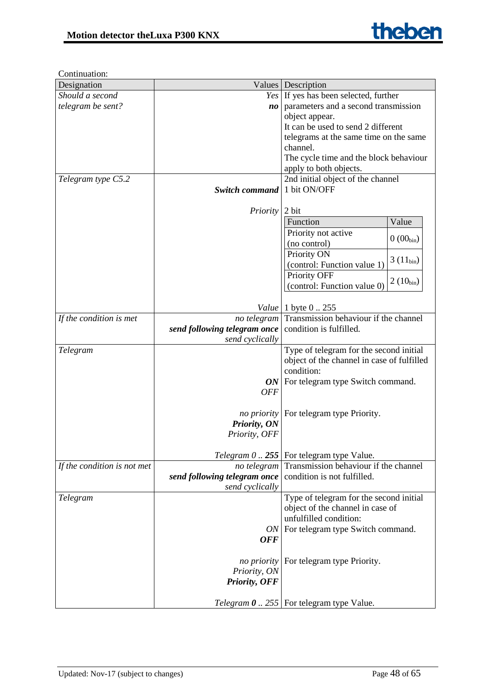| Designation                 |                              | Values   Description                                     |
|-----------------------------|------------------------------|----------------------------------------------------------|
| Should a second             |                              | Yes If yes has been selected, further                    |
| telegram be sent?           | no                           | parameters and a second transmission                     |
|                             |                              | object appear.                                           |
|                             |                              | It can be used to send 2 different                       |
|                             |                              | telegrams at the same time on the same                   |
|                             |                              | channel.                                                 |
|                             |                              | The cycle time and the block behaviour                   |
|                             |                              | apply to both objects.                                   |
| Telegram type C5.2          |                              | 2nd initial object of the channel                        |
|                             | <b>Switch command</b>        | 1 bit ON/OFF                                             |
|                             |                              |                                                          |
|                             | <i>Priority</i>              | 2 bit                                                    |
|                             |                              | Function<br>Value                                        |
|                             |                              | Priority not active<br>$0(00_{\text{bin}})$              |
|                             |                              | (no control)                                             |
|                             |                              | Priority ON<br>$3(11_{bin})$                             |
|                             |                              | (control: Function value 1)                              |
|                             |                              | Priority OFF<br>$2(10_{bin})$                            |
|                             |                              | (control: Function value 0)                              |
|                             |                              |                                                          |
|                             | Value                        | 1 byte 0  255                                            |
| If the condition is met     | no telegram                  | Transmission behaviour if the channel                    |
|                             | send following telegram once | condition is fulfilled.                                  |
|                             | send cyclically              |                                                          |
| Telegram                    |                              | Type of telegram for the second initial                  |
|                             |                              | object of the channel in case of fulfilled<br>condition: |
|                             |                              | $ON$ For telegram type Switch command.                   |
|                             | <b>OFF</b>                   |                                                          |
|                             |                              |                                                          |
|                             |                              | <i>no priority</i> For telegram type Priority.           |
|                             | Priority, ON                 |                                                          |
|                             | Priority, OFF                |                                                          |
|                             |                              |                                                          |
|                             |                              | Telegram $0$ 255   For telegram type Value.              |
| If the condition is not met | no telegram                  | Transmission behaviour if the channel                    |
|                             | send following telegram once | condition is not fulfilled.                              |
|                             | send cyclically              |                                                          |
| Telegram                    |                              | Type of telegram for the second initial                  |
|                             |                              | object of the channel in case of                         |
|                             |                              | unfulfilled condition:                                   |
|                             |                              | ON   For telegram type Switch command.                   |
|                             | <b>OFF</b>                   |                                                          |
|                             |                              |                                                          |
|                             | <i>no priority</i>           | For telegram type Priority.                              |
|                             | Priority, ON                 |                                                          |
|                             | Priority, OFF                |                                                          |
|                             |                              |                                                          |
|                             |                              | Telegram $\theta$ 255   For telegram type Value.         |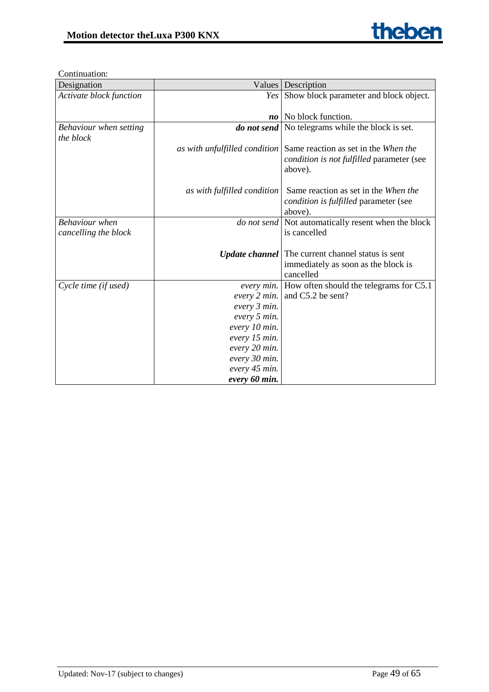| Designation             | Values                         | Description                                              |
|-------------------------|--------------------------------|----------------------------------------------------------|
| Activate block function | Yes                            | Show block parameter and block object.                   |
|                         |                                |                                                          |
|                         | $\boldsymbol{n}\boldsymbol{o}$ | No block function.                                       |
| Behaviour when setting  |                                | <b>do not send</b> No telegrams while the block is set.  |
| the block               |                                |                                                          |
|                         | as with unfulfilled condition  | Same reaction as set in the When the                     |
|                         |                                | condition is not fulfilled parameter (see                |
|                         |                                | above).                                                  |
|                         |                                |                                                          |
|                         | as with fulfilled condition    | Same reaction as set in the When the                     |
|                         |                                | condition is fulfilled parameter (see                    |
|                         |                                | above).                                                  |
| <b>Behaviour</b> when   | do not send                    | Not automatically resent when the block                  |
| cancelling the block    |                                | is cancelled                                             |
|                         |                                |                                                          |
|                         |                                | <b>Update channel</b> The current channel status is sent |
|                         |                                | immediately as soon as the block is                      |
|                         |                                | cancelled                                                |
| Cycle time (if used)    | every min.                     | How often should the telegrams for C5.1                  |
|                         | every 2 min.                   | and C5.2 be sent?                                        |
|                         | every 3 min.                   |                                                          |
|                         | every 5 min.                   |                                                          |
|                         | every 10 min.                  |                                                          |
|                         | every 15 min.                  |                                                          |
|                         | every 20 min.                  |                                                          |
|                         | every 30 min.                  |                                                          |
|                         | every 45 min.                  |                                                          |
|                         | every 60 min.                  |                                                          |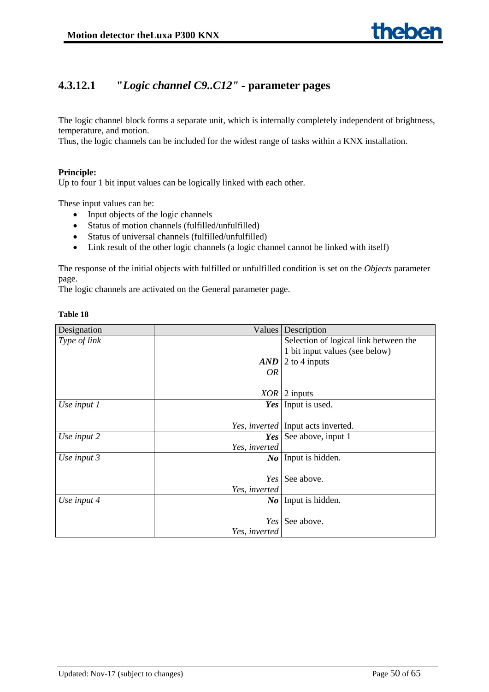# **4.3.12.1 "***Logic channel C9..C12" -* **parameter pages**

The logic channel block forms a separate unit, which is internally completely independent of brightness, temperature, and motion.

Thus, the logic channels can be included for the widest range of tasks within a KNX installation.

#### **Principle:**

Up to four 1 bit input values can be logically linked with each other.

These input values can be:

- Input objects of the logic channels
- Status of motion channels (fulfilled/unfulfilled)
- Status of universal channels (fulfilled/unfulfilled)
- Link result of the other logic channels (a logic channel cannot be linked with itself)

The response of the initial objects with fulfilled or unfulfilled condition is set on the *Objects* parameter page.

The logic channels are activated on the General parameter page.

| Designation   | Values        | Description                                 |
|---------------|---------------|---------------------------------------------|
| Type of link  |               | Selection of logical link between the       |
|               |               | 1 bit input values (see below)              |
|               | <b>AND</b>    | 2 to 4 inputs                               |
|               | <b>OR</b>     |                                             |
|               |               |                                             |
|               | <b>XOR</b>    | 2 inputs                                    |
| Use input 1   | Yes           | Input is used.                              |
|               |               |                                             |
|               |               | Yes, <i>inverted</i>   Input acts inverted. |
| Use input 2   |               | <b>Yes</b> See above, input 1               |
|               | Yes, inverted |                                             |
| Use input $3$ |               | $\mathbb{N}o$ Input is hidden.              |
|               |               |                                             |
|               | Yes           | See above.                                  |
|               | Yes, inverted |                                             |
| Use input 4   |               | $\mathbb{N}o$ Input is hidden.              |
|               |               |                                             |
|               | Yes           | See above.                                  |
|               | Yes, inverted |                                             |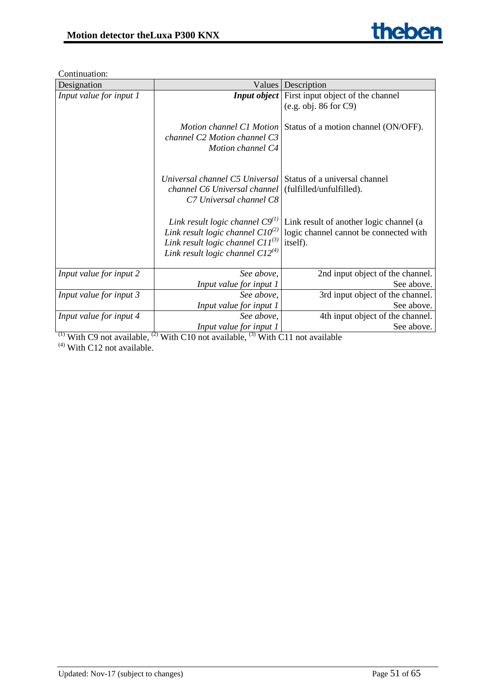

| Designation             | Values                                                                                                                                                          | Description                                                                                   |
|-------------------------|-----------------------------------------------------------------------------------------------------------------------------------------------------------------|-----------------------------------------------------------------------------------------------|
| Input value for input 1 |                                                                                                                                                                 | <b>Input object</b> First input object of the channel                                         |
|                         |                                                                                                                                                                 | (e.g. obj. 86 for C9)                                                                         |
|                         | channel C2 Motion channel C3<br>Motion channel C4                                                                                                               | Motion channel C1 Motion Status of a motion channel (ON/OFF).                                 |
|                         | Universal channel C5 Universal Status of a universal channel<br>channel C6 Universal channel (fulfilled/unfulfilled).<br>C7 Universal channel C8                |                                                                                               |
|                         | Link result logic channel $C9^{(1)}$<br>Link result logic channel $ClO^{(2)}$<br>Link result logic channel $ClI^{(3)}$<br>Link result logic channel $C12^{(4)}$ | Link result of another logic channel (a<br>logic channel cannot be connected with<br>itself). |
| Input value for input 2 | See above,                                                                                                                                                      | 2nd input object of the channel.                                                              |
|                         | Input value for input 1                                                                                                                                         | See above.                                                                                    |
| Input value for input 3 | See above,                                                                                                                                                      | 3rd input object of the channel.                                                              |
|                         | Input value for input 1                                                                                                                                         | See above.                                                                                    |
| Input value for input 4 | See above,                                                                                                                                                      | 4th input object of the channel.                                                              |
|                         | Input value for input 1                                                                                                                                         | See above.                                                                                    |

<sup>(1)</sup> With C9 not available, <sup>(2)</sup> With C10 not available, <sup>(3)</sup> With C11 not available  $<sup>(4)</sup>$  With C12 not available.</sup>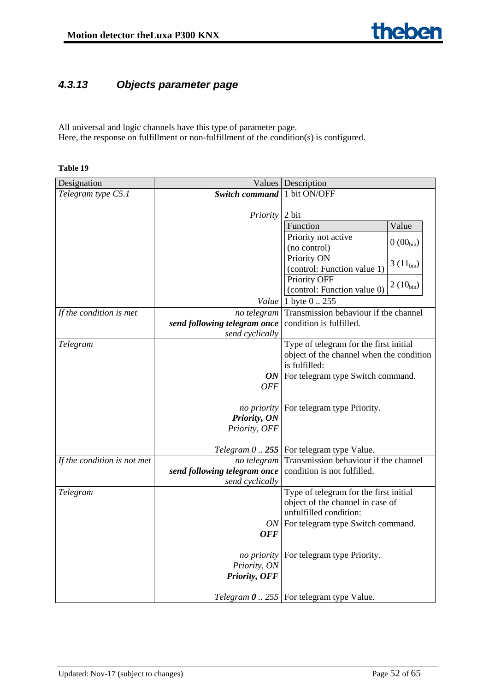# <span id="page-51-0"></span>*4.3.13 Objects parameter page*

All universal and logic channels have this type of parameter page. Here, the response on fulfillment or non-fulfillment of the condition(s) is configured.

| Designation                 |                              | Values Description                                      |
|-----------------------------|------------------------------|---------------------------------------------------------|
| Telegram type C5.1          | <b>Switch command</b>        | 1 bit ON/OFF                                            |
|                             |                              |                                                         |
|                             | Priority                     | 2 bit                                                   |
|                             |                              | Value<br>Function                                       |
|                             |                              | Priority not active<br>$0(00_{bin})$                    |
|                             |                              | (no control)                                            |
|                             |                              | Priority ON<br>$3(11_{bin})$                            |
|                             |                              | (control: Function value 1)                             |
|                             |                              | Priority OFF<br>$2(10_{bin})$                           |
|                             |                              | (control: Function value 0)                             |
|                             | Value                        | 1 byte 0  255                                           |
| If the condition is met     | no telegram                  | Transmission behaviour if the channel                   |
|                             | send following telegram once | condition is fulfilled.                                 |
|                             | send cyclically              |                                                         |
| Telegram                    |                              | Type of telegram for the first initial                  |
|                             |                              | object of the channel when the condition                |
|                             |                              | is fulfilled:                                           |
|                             |                              | $ON$ For telegram type Switch command.                  |
|                             | <b>OFF</b>                   |                                                         |
|                             |                              |                                                         |
|                             | no priority<br>Priority, ON  | For telegram type Priority.                             |
|                             | Priority, OFF                |                                                         |
|                             |                              |                                                         |
|                             |                              | <i>Telegram</i> $0$ 255   For telegram type Value.      |
| If the condition is not met | no telegram                  | Transmission behaviour if the channel                   |
|                             | send following telegram once | condition is not fulfilled.                             |
|                             | send cyclically              |                                                         |
| Telegram                    |                              | Type of telegram for the first initial                  |
|                             |                              | object of the channel in case of                        |
|                             |                              | unfulfilled condition:                                  |
|                             | ON <sub>1</sub>              | For telegram type Switch command.                       |
|                             | <b>OFF</b>                   |                                                         |
|                             |                              |                                                         |
|                             | no priority                  | For telegram type Priority.                             |
|                             | Priority, ON                 |                                                         |
|                             | Priority, OFF                |                                                         |
|                             |                              | <i>Telegram</i> $\theta$ 255   For telegram type Value. |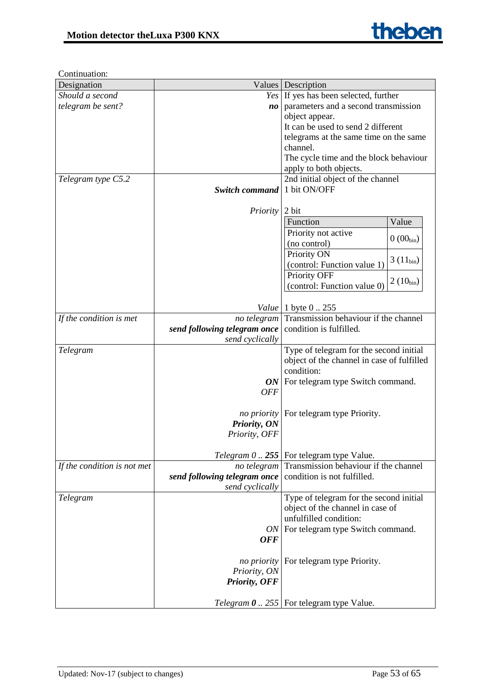| Designation                 |                                | Values   Description                             |
|-----------------------------|--------------------------------|--------------------------------------------------|
| Should a second             |                                | Yes If yes has been selected, further            |
| telegram be sent?           | $\boldsymbol{n}\boldsymbol{o}$ | parameters and a second transmission             |
|                             |                                | object appear.                                   |
|                             |                                | It can be used to send 2 different               |
|                             |                                | telegrams at the same time on the same           |
|                             |                                | channel.                                         |
|                             |                                | The cycle time and the block behaviour           |
|                             |                                | apply to both objects.                           |
| Telegram type C5.2          |                                | 2nd initial object of the channel                |
|                             | <b>Switch command</b>          | 1 bit ON/OFF                                     |
|                             |                                |                                                  |
|                             | <i>Priority</i>                | 2 bit                                            |
|                             |                                | Function<br>Value                                |
|                             |                                | Priority not active                              |
|                             |                                | $0(00_{\text{bin}})$<br>(no control)             |
|                             |                                | Priority ON                                      |
|                             |                                | $3(11_{bin})$<br>(control: Function value 1)     |
|                             |                                | Priority OFF                                     |
|                             |                                | $2(10_{bin})$<br>(control: Function value 0)     |
|                             |                                |                                                  |
|                             | Value                          | 1 byte 0  255                                    |
| If the condition is met     | no telegram                    | Transmission behaviour if the channel            |
|                             | send following telegram once   | condition is fulfilled.                          |
|                             | send cyclically                |                                                  |
| Telegram                    |                                | Type of telegram for the second initial          |
|                             |                                | object of the channel in case of fulfilled       |
|                             |                                | condition:                                       |
|                             |                                | $ON$ For telegram type Switch command.           |
|                             | <b>OFF</b>                     |                                                  |
|                             |                                |                                                  |
|                             |                                | <i>no priority</i> For telegram type Priority.   |
|                             | Priority, ON                   |                                                  |
|                             | Priority, OFF                  |                                                  |
|                             |                                |                                                  |
|                             |                                | Telegram $0$ 255   For telegram type Value.      |
| If the condition is not met | no telegram                    | Transmission behaviour if the channel            |
|                             | send following telegram once   | condition is not fulfilled.                      |
|                             | send cyclically                |                                                  |
| Telegram                    |                                | Type of telegram for the second initial          |
|                             |                                | object of the channel in case of                 |
|                             |                                | unfulfilled condition:                           |
|                             |                                | ON   For telegram type Switch command.           |
|                             | <b>OFF</b>                     |                                                  |
|                             |                                |                                                  |
|                             | <i>no priority</i>             | For telegram type Priority.                      |
|                             | Priority, ON                   |                                                  |
|                             | Priority, OFF                  |                                                  |
|                             |                                |                                                  |
|                             |                                | Telegram $\theta$ 255   For telegram type Value. |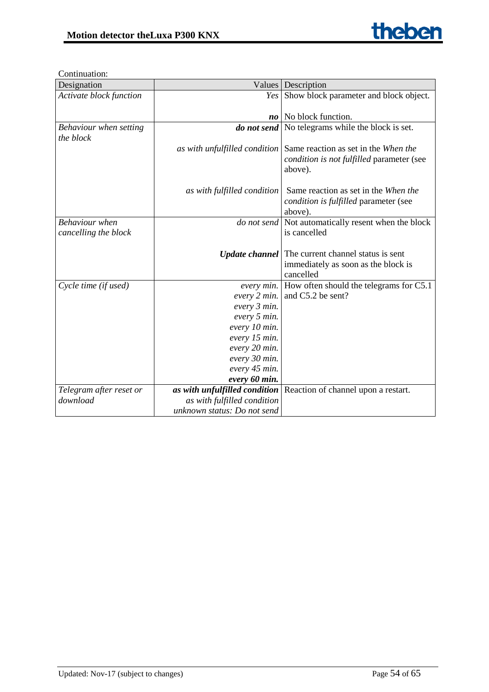

| Designation             |                                | Values   Description                                       |
|-------------------------|--------------------------------|------------------------------------------------------------|
| Activate block function | Yes                            | Show block parameter and block object.                     |
|                         |                                |                                                            |
|                         | $\boldsymbol{n}\boldsymbol{o}$ | No block function.                                         |
| Behaviour when setting  | do not send                    | No telegrams while the block is set.                       |
| the block               |                                |                                                            |
|                         | as with unfulfilled condition  | Same reaction as set in the When the                       |
|                         |                                | condition is not fulfilled parameter (see                  |
|                         |                                | above).                                                    |
|                         |                                |                                                            |
|                         | as with fulfilled condition    | Same reaction as set in the When the                       |
|                         |                                | <i>condition is fulfilled</i> parameter (see               |
|                         |                                | above).                                                    |
| <b>Behaviour</b> when   |                                | <i>do not send</i> Not automatically resent when the block |
| cancelling the block    |                                | is cancelled                                               |
|                         |                                |                                                            |
|                         |                                | <b>Update channel</b>   The current channel status is sent |
|                         |                                | immediately as soon as the block is<br>cancelled           |
| Cycle time (if used)    | every min.                     | How often should the telegrams for C5.1                    |
|                         | every 2 min.                   | and C5.2 be sent?                                          |
|                         | every 3 min.                   |                                                            |
|                         | every 5 min.                   |                                                            |
|                         | every 10 min.                  |                                                            |
|                         | every 15 min.                  |                                                            |
|                         | every 20 min.                  |                                                            |
|                         | every 30 min.                  |                                                            |
|                         | every 45 min.                  |                                                            |
|                         | every 60 min.                  |                                                            |
| Telegram after reset or | as with unfulfilled condition  | Reaction of channel upon a restart.                        |
| download                | as with fulfilled condition    |                                                            |
|                         | unknown status: Do not send    |                                                            |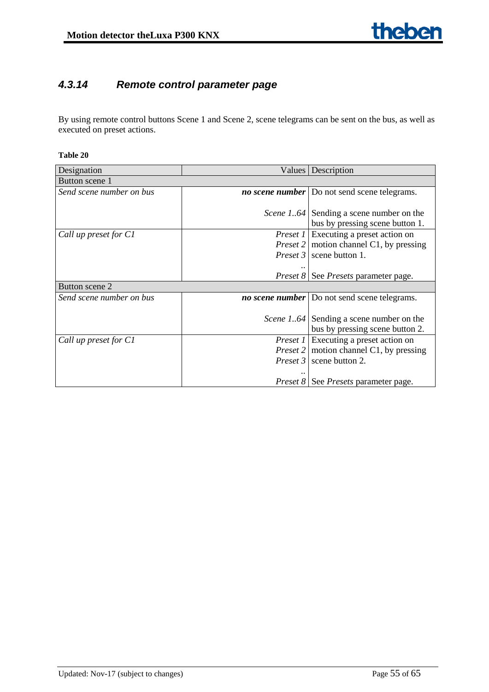# <span id="page-54-0"></span>*4.3.14 Remote control parameter page*

By using remote control buttons Scene 1 and Scene 2, scene telegrams can be sent on the bus, as well as executed on preset actions.

| Designation              |          | Values   Description                                 |  |  |  |
|--------------------------|----------|------------------------------------------------------|--|--|--|
| Button scene 1           |          |                                                      |  |  |  |
| Send scene number on bus |          | <i>no scene number</i> Do not send scene telegrams.  |  |  |  |
|                          |          |                                                      |  |  |  |
|                          |          | <i>Scene 164</i> Sending a scene number on the       |  |  |  |
|                          |          | bus by pressing scene button 1.                      |  |  |  |
| Call up preset for C1    |          | <i>Preset 1</i> Executing a preset action on         |  |  |  |
|                          |          | <i>Preset</i> 2   motion channel C1, by pressing     |  |  |  |
|                          |          | <i>Preset 3</i>   scene button 1.                    |  |  |  |
|                          |          |                                                      |  |  |  |
|                          |          | <i>Preset 8</i>   See <i>Presets</i> parameter page. |  |  |  |
| Button scene 2           |          |                                                      |  |  |  |
| Send scene number on bus |          | <i>no scene number</i> Do not send scene telegrams.  |  |  |  |
|                          |          |                                                      |  |  |  |
|                          |          | <i>Scene 164</i> Sending a scene number on the       |  |  |  |
|                          |          | bus by pressing scene button 2.                      |  |  |  |
| Call up preset for C1    | Preset 1 | Executing a preset action on                         |  |  |  |
|                          |          | <i>Preset</i> 2   motion channel C1, by pressing     |  |  |  |
|                          |          | <i>Preset 3</i> scene button 2.                      |  |  |  |
|                          |          |                                                      |  |  |  |
|                          |          | <i>Preset 8</i>   See <i>Presets</i> parameter page. |  |  |  |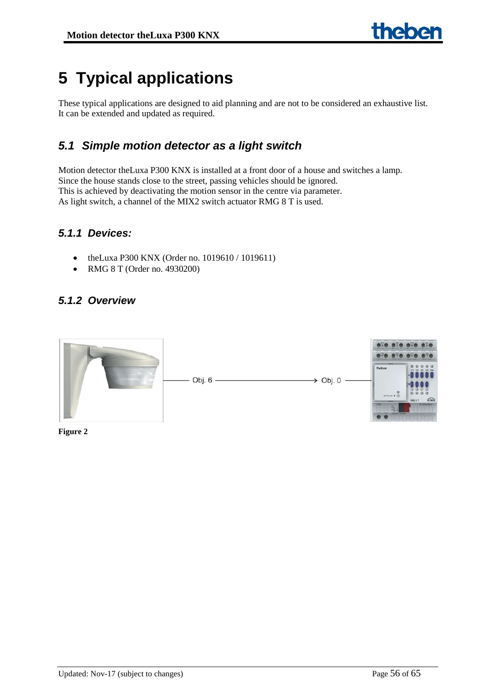# <span id="page-55-0"></span>**5 Typical applications**

These typical applications are designed to aid planning and are not to be considered an exhaustive list. It can be extended and updated as required.

# <span id="page-55-1"></span>*5.1 Simple motion detector as a light switch*

Motion detector theLuxa P300 KNX is installed at a front door of a house and switches a lamp. Since the house stands close to the street, passing vehicles should be ignored. This is achieved by deactivating the motion sensor in the centre via parameter. As light switch, a channel of the MIX2 switch actuator RMG 8 T is used.

# <span id="page-55-2"></span>*5.1.1 Devices:*

- theLuxa P300 KNX (Order no. 1019610 / 1019611)
- RMG 8 T (Order no. 4930200)

# <span id="page-55-3"></span>*5.1.2 Overview*



**Figure 2**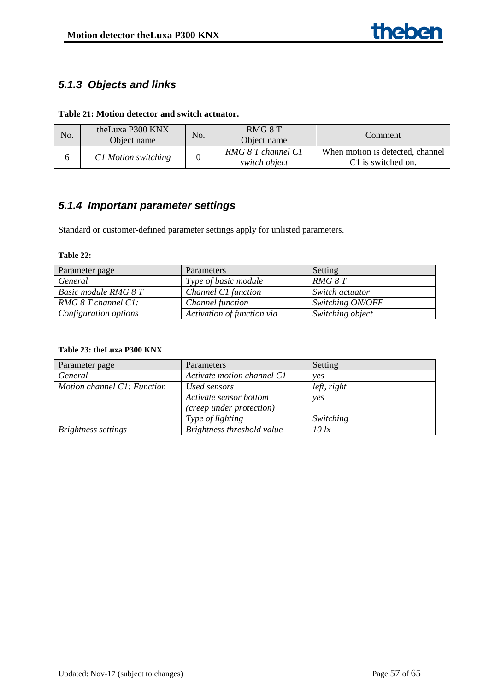# <span id="page-56-0"></span>*5.1.3 Objects and links*

## **Table 21: Motion detector and switch actuator.**

| No. | theLuxa P300 KNX    | No. | RMG 8 T                             | Comment                                                |
|-----|---------------------|-----|-------------------------------------|--------------------------------------------------------|
|     | Object name         |     | Object name                         |                                                        |
|     | C1 Motion switching |     | RMG 8 T channel C1<br>switch object | When motion is detected, channel<br>C1 is switched on. |

# <span id="page-56-1"></span>*5.1.4 Important parameter settings*

Standard or customer-defined parameter settings apply for unlisted parameters.

#### **Table 22:**

| Parameter page           | Parameters                 | Setting          |
|--------------------------|----------------------------|------------------|
| General                  | Type of basic module       | RMG 8 T          |
| Basic module RMG 8 T     | Channel C1 function        | Switch actuator  |
| $RMG$ 8 T channel $Cl$ : | Channel function           | Switching ON/OFF |
| Configuration options    | Activation of function via | Switching object |

# **Table 23: theLuxa P300 KNX**

| Parameter page              | Parameters                 | Setting             |
|-----------------------------|----------------------------|---------------------|
| General                     | Activate motion channel C1 | ves                 |
| Motion channel C1: Function | Used sensors               | $left$ , right      |
|                             | Activate sensor bottom     | yes                 |
|                             | (creep under protection)   |                     |
|                             | Type of lighting           | Switching           |
| <b>Brightness settings</b>  | Brightness threshold value | $10 \, \mathrm{lx}$ |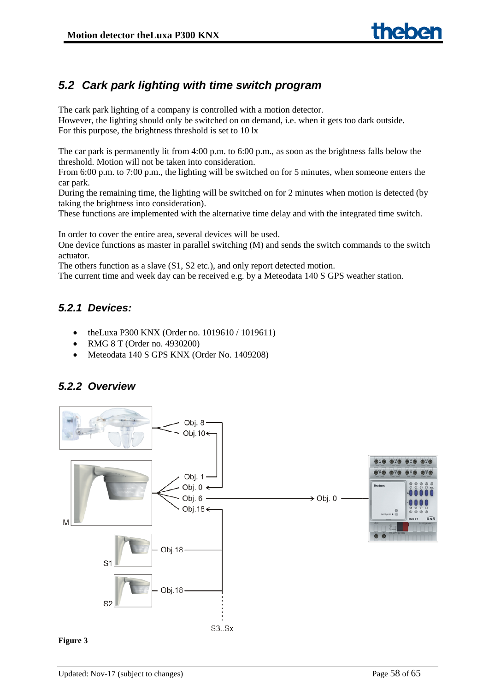# <span id="page-57-0"></span>*5.2 Cark park lighting with time switch program*

The cark park lighting of a company is controlled with a motion detector. However, the lighting should only be switched on on demand, i.e. when it gets too dark outside. For this purpose, the brightness threshold is set to 10 lx

The car park is permanently lit from 4:00 p.m. to 6:00 p.m., as soon as the brightness falls below the threshold. Motion will not be taken into consideration.

From 6:00 p.m. to 7:00 p.m., the lighting will be switched on for 5 minutes, when someone enters the car park.

During the remaining time, the lighting will be switched on for 2 minutes when motion is detected (by taking the brightness into consideration).

These functions are implemented with the alternative time delay and with the integrated time switch.

In order to cover the entire area, several devices will be used.

One device functions as master in parallel switching (M) and sends the switch commands to the switch actuator.

The others function as a slave (S1, S2 etc.), and only report detected motion.

The current time and week day can be received e.g. by a Meteodata 140 S GPS weather station.

# <span id="page-57-1"></span>*5.2.1 Devices:*

- theLuxa P300 KNX (Order no. 1019610 / 1019611)
- RMG 8 T (Order no. 4930200)
- Meteodata 140 S GPS KNX (Order No. 1409208)

# <span id="page-57-2"></span>*5.2.2 Overview*



#### **Figure 3**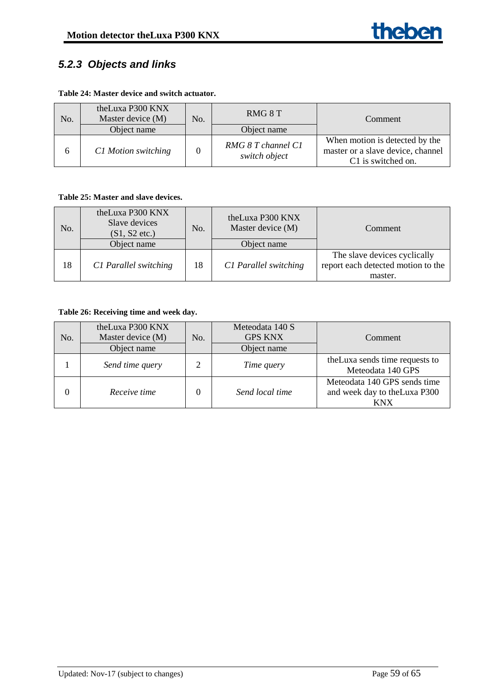# <span id="page-58-0"></span>*5.2.3 Objects and links*

#### **Table 24: Master device and switch actuator.**

| No.          | theLuxa P300 KNX<br>Master device (M) | No. | RMG 8 T                             | Comment                                                                                   |
|--------------|---------------------------------------|-----|-------------------------------------|-------------------------------------------------------------------------------------------|
|              | Object name                           |     | Object name                         |                                                                                           |
| <sub>0</sub> | C1 Motion switching                   |     | RMG 8 T channel C1<br>switch object | When motion is detected by the<br>master or a slave device, channel<br>C1 is switched on. |

### **Table 25: Master and slave devices.**

| No. | theLuxa P300 KNX<br>Slave devices<br>$(S1, S2$ etc.)<br>Object name | No. | theLuxa P300 KNX<br>Master device (M)<br>Object name | Comment                                                                       |
|-----|---------------------------------------------------------------------|-----|------------------------------------------------------|-------------------------------------------------------------------------------|
| 18  | C1 Parallel switching                                               | 18  | C1 Parallel switching                                | The slave devices cyclically<br>report each detected motion to the<br>master. |

# **Table 26: Receiving time and week day.**

| No. | theLuxa P300 KNX<br>Master device (M)<br>Object name | No. | Meteodata 140 S<br><b>GPS KNX</b><br>Object name | Comment                                                              |
|-----|------------------------------------------------------|-----|--------------------------------------------------|----------------------------------------------------------------------|
|     | Send time query                                      |     | Time query                                       | the Luxa sends time requests to<br>Meteodata 140 GPS                 |
| 0   | Receive time                                         |     | Send local time                                  | Meteodata 140 GPS sends time<br>and week day to the Luxa P300<br>KNX |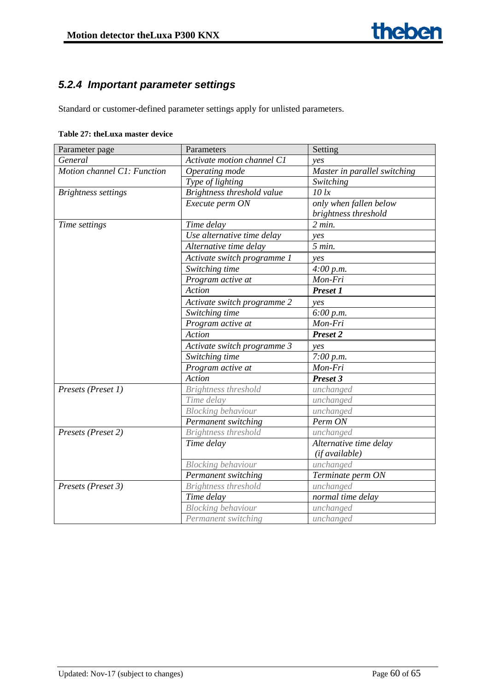# <span id="page-59-0"></span>*5.2.4 Important parameter settings*

Standard or customer-defined parameter settings apply for unlisted parameters.

| Parameter page              | Parameters                  | Setting                      |  |  |  |  |
|-----------------------------|-----------------------------|------------------------------|--|--|--|--|
| General                     | Activate motion channel C1  | ves                          |  |  |  |  |
| Motion channel C1: Function | Operating mode              | Master in parallel switching |  |  |  |  |
|                             | Type of lighting            | Switching                    |  |  |  |  |
| <b>Brightness settings</b>  | Brightness threshold value  | $10 \,$ lx                   |  |  |  |  |
|                             | Execute perm ON             | only when fallen below       |  |  |  |  |
|                             |                             | brightness threshold         |  |  |  |  |
| Time settings               | Time delay                  | 2 min.                       |  |  |  |  |
|                             | Use alternative time delay  | ves                          |  |  |  |  |
|                             | Alternative time delay      | 5 min.                       |  |  |  |  |
|                             | Activate switch programme 1 | ves                          |  |  |  |  |
|                             | Switching time              | 4:00 p.m.                    |  |  |  |  |
|                             | Program active at           | Mon-Fri                      |  |  |  |  |
|                             | Action                      | <b>Preset 1</b>              |  |  |  |  |
|                             | Activate switch programme 2 | yes                          |  |  |  |  |
|                             | Switching time              | 6:00 p.m.                    |  |  |  |  |
|                             | Program active at           | Mon-Fri                      |  |  |  |  |
|                             | Action                      | Preset 2                     |  |  |  |  |
|                             | Activate switch programme 3 | ves                          |  |  |  |  |
|                             | Switching time              | 7:00 p.m.                    |  |  |  |  |
|                             | Program active at           | Mon-Fri                      |  |  |  |  |
|                             | Action                      | Preset 3                     |  |  |  |  |
| Presets (Preset 1)          | <b>Brightness threshold</b> | unchanged                    |  |  |  |  |
|                             | Time delay                  | unchanged                    |  |  |  |  |
|                             | <b>Blocking behaviour</b>   | unchanged                    |  |  |  |  |
|                             | Permanent switching         | Perm ON                      |  |  |  |  |
| Presets (Preset 2)          | <b>Brightness threshold</b> | unchanged                    |  |  |  |  |
|                             | Time delay                  | Alternative time delay       |  |  |  |  |
|                             |                             | (if available)               |  |  |  |  |
|                             | <b>Blocking behaviour</b>   | unchanged                    |  |  |  |  |
|                             | Permanent switching         | Terminate perm ON            |  |  |  |  |
| Presets (Preset 3)          | <b>Brightness threshold</b> | unchanged                    |  |  |  |  |
|                             | Time delay                  | normal time delay            |  |  |  |  |
|                             | <b>Blocking behaviour</b>   | unchanged                    |  |  |  |  |
|                             | Permanent switching         | unchanged                    |  |  |  |  |

#### **Table 27: theLuxa master device**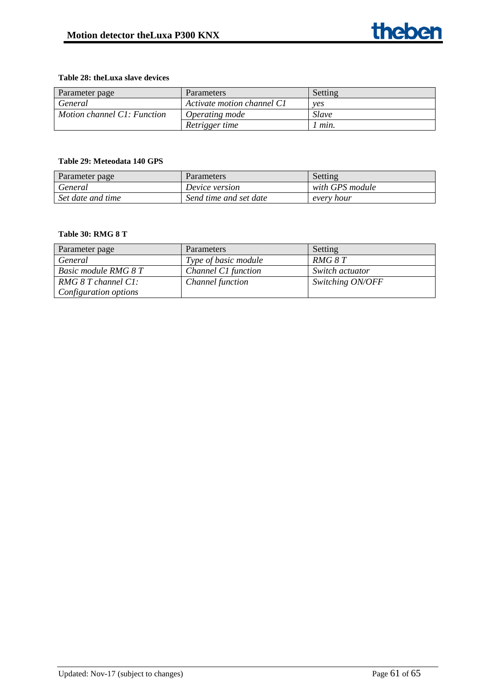#### **Table 28: theLuxa slave devices**

| Parameter page              | <b>Parameters</b>          | Setting |
|-----------------------------|----------------------------|---------|
| General                     | Activate motion channel C1 | ves     |
| Motion channel C1: Function | Operating mode             | Slave   |
|                             | Retrigger time             | l mın.  |

#### **Table 29: Meteodata 140 GPS**

| Parameter page    | Parameters             | Setting         |  |  |
|-------------------|------------------------|-----------------|--|--|
| General           | Device version         | with GPS module |  |  |
| Set date and time | Send time and set date | every hour      |  |  |

#### **Table 30: RMG 8 T**

| Parameter page        | Parameters           | Setting          |
|-----------------------|----------------------|------------------|
| General               | Type of basic module | RMG 8 T          |
| Basic module RMG 8 T  | Channel C1 function  | Switch actuator  |
| RMG 8 T channel C1:   | Channel function     | Switching ON/OFF |
| Configuration options |                      |                  |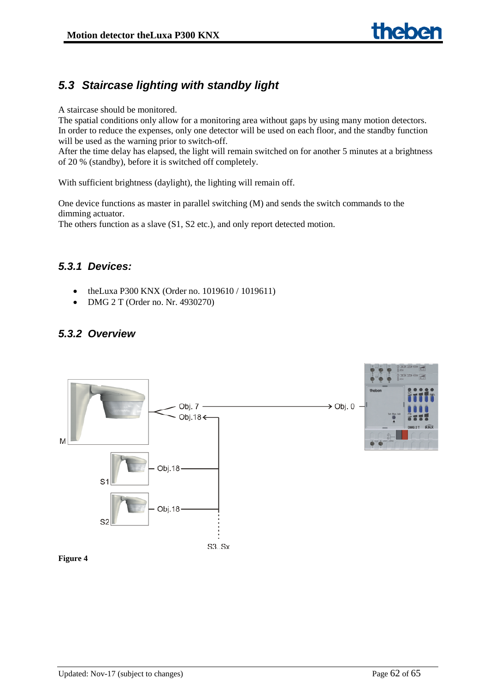# <span id="page-61-0"></span>*5.3 Staircase lighting with standby light*

A staircase should be monitored.

The spatial conditions only allow for a monitoring area without gaps by using many motion detectors. In order to reduce the expenses, only one detector will be used on each floor, and the standby function will be used as the warning prior to switch-off.

After the time delay has elapsed, the light will remain switched on for another 5 minutes at a brightness of 20 % (standby), before it is switched off completely.

With sufficient brightness (daylight), the lighting will remain off.

One device functions as master in parallel switching (M) and sends the switch commands to the dimming actuator.

The others function as a slave (S1, S2 etc.), and only report detected motion.

# <span id="page-61-1"></span>*5.3.1 Devices:*

- theLuxa P300 KNX (Order no. 1019610 / 1019611)
- DMG 2 T (Order no. Nr. 4930270)

# <span id="page-61-2"></span>*5.3.2 Overview*



**Figure 4**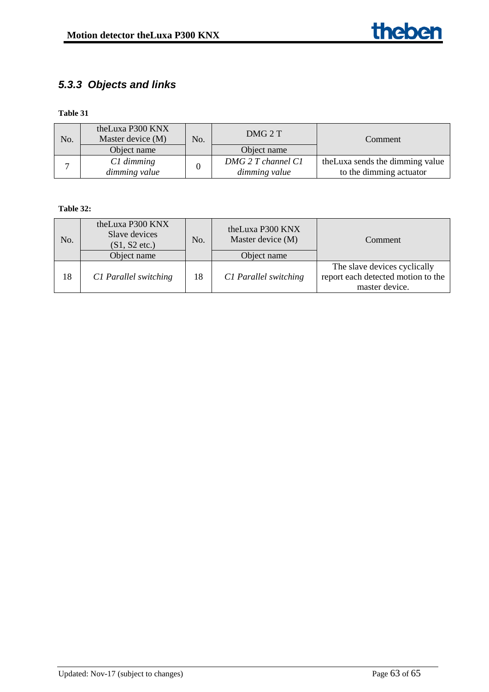# <span id="page-62-0"></span>*5.3.3 Objects and links*

**Table 31**

| No. | theLuxa P300 KNX<br>Master device (M) | No. | DMG 2 T            | Comment                          |
|-----|---------------------------------------|-----|--------------------|----------------------------------|
|     | Object name                           |     | Object name        |                                  |
|     | $C1$ dimming                          |     | DMG 2 T channel C1 | the Luxa sends the dimming value |
|     | dimming value                         |     | dimming value      | to the dimming actuator          |

### **Table 32:**

| No. | theLuxa P300 KNX<br>Slave devices<br>$(S1, S2$ etc.)<br>Object name | No. | theLuxa P300 KNX<br>Master device (M)<br>Object name | Comment                                                                              |
|-----|---------------------------------------------------------------------|-----|------------------------------------------------------|--------------------------------------------------------------------------------------|
| 18  | C1 Parallel switching                                               | 18  | C1 Parallel switching                                | The slave devices cyclically<br>report each detected motion to the<br>master device. |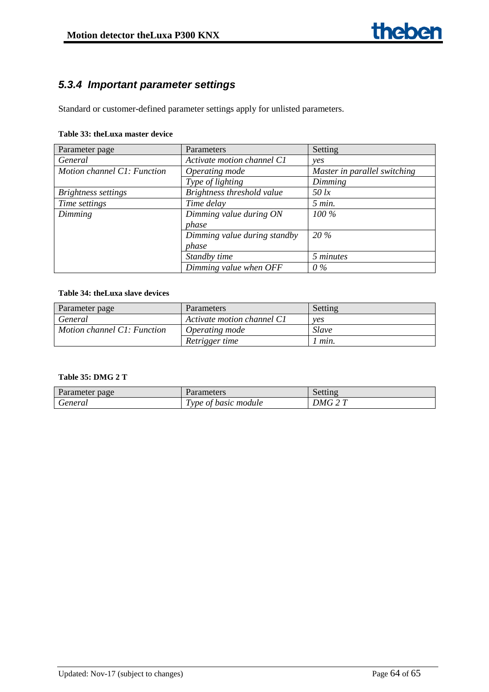# <span id="page-63-0"></span>*5.3.4 Important parameter settings*

Standard or customer-defined parameter settings apply for unlisted parameters.

#### **Table 33: theLuxa master device**

| Parameter page              | Parameters                   | Setting                      |
|-----------------------------|------------------------------|------------------------------|
| General                     | Activate motion channel C1   | <i>ves</i>                   |
| Motion channel C1: Function | Operating mode               | Master in parallel switching |
|                             | Type of lighting             | Dimming                      |
| Brightness settings         | Brightness threshold value   | $50$ lx                      |
| Time settings               | Time delay                   | $5$ min.                     |
| Dimming                     | Dimming value during ON      | $100\%$                      |
|                             | phase                        |                              |
|                             | Dimming value during standby | 20 %                         |
|                             | phase                        |                              |
|                             | Standby time                 | 5 minutes                    |
|                             | Dimming value when OFF       | $0\%$                        |

#### **Table 34: theLuxa slave devices**

| Parameter page              | Parameters                 | Setting      |
|-----------------------------|----------------------------|--------------|
| General                     | Activate motion channel C1 | ves          |
| Motion channel C1: Function | Operating mode             | <i>Slave</i> |
|                             | Retrigger time             | l mın.       |

#### **Table 35: DMG 2 T**

| page<br>arameter ? | arameters                                      | решш                                        |
|--------------------|------------------------------------------------|---------------------------------------------|
| seneral            | $\mathbf \tau$<br>module<br>basic<br>vpe<br>Ωt | $\sim$ $\pi$<br>$\mathcal{M}^{\mathcal{L}}$ |